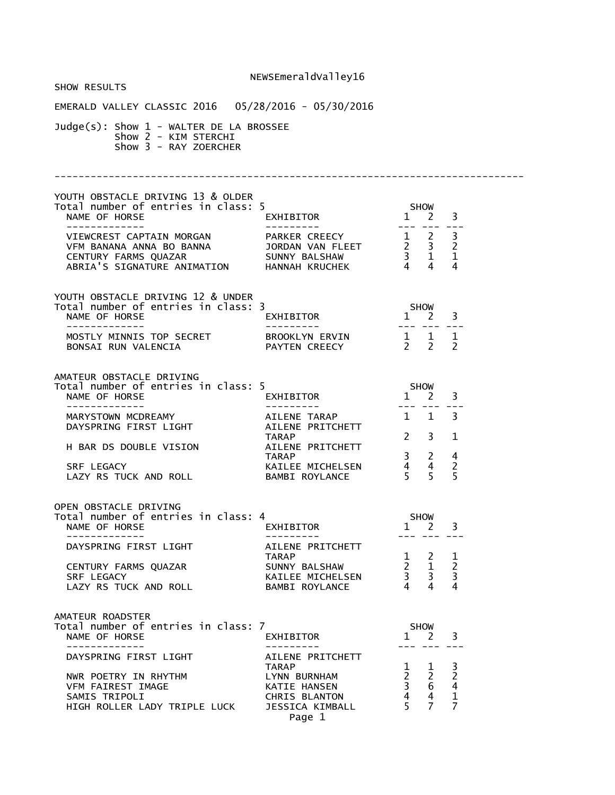| <b>SHOW RESULTS</b>                                                                                                                                                                                                                                             |                                                                            |             |                                                                                                                         |                                                                                                                                                                                                                                                                                                                                                                                              |  |
|-----------------------------------------------------------------------------------------------------------------------------------------------------------------------------------------------------------------------------------------------------------------|----------------------------------------------------------------------------|-------------|-------------------------------------------------------------------------------------------------------------------------|----------------------------------------------------------------------------------------------------------------------------------------------------------------------------------------------------------------------------------------------------------------------------------------------------------------------------------------------------------------------------------------------|--|
| EMERALD VALLEY CLASSIC 2016  05/28/2016 - 05/30/2016                                                                                                                                                                                                            |                                                                            |             |                                                                                                                         |                                                                                                                                                                                                                                                                                                                                                                                              |  |
| $Judge(s)$ : Show $1$ - WALTER DE LA BROSSEE<br>Show 2 - KIM STERCHI<br>Show 3 - RAY ZOERCHER                                                                                                                                                                   |                                                                            |             |                                                                                                                         |                                                                                                                                                                                                                                                                                                                                                                                              |  |
|                                                                                                                                                                                                                                                                 |                                                                            |             |                                                                                                                         |                                                                                                                                                                                                                                                                                                                                                                                              |  |
| YOUTH OBSTACLE DRIVING 13 & OLDER                                                                                                                                                                                                                               |                                                                            |             |                                                                                                                         |                                                                                                                                                                                                                                                                                                                                                                                              |  |
|                                                                                                                                                                                                                                                                 |                                                                            |             |                                                                                                                         |                                                                                                                                                                                                                                                                                                                                                                                              |  |
| YOUTH OBSTACLE DRIVING 12 & UNDER<br>Total number of entries in class: 3<br>NAME OF HORSE<br>- - - - - - - - - - - - - -                                                                                                                                        |                                                                            |             |                                                                                                                         |                                                                                                                                                                                                                                                                                                                                                                                              |  |
| MOSTLY MINNIS TOP SECRET<br>BONSAI RUN VALENCIA<br>PAYTEN CREECY 2 2<br>2<br>2                                                                                                                                                                                  |                                                                            |             |                                                                                                                         | $\frac{1}{2} \frac{1}{2} \frac{1}{2} \frac{1}{2} \frac{1}{2} \frac{1}{2} \frac{1}{2} \frac{1}{2} \frac{1}{2} \frac{1}{2} \frac{1}{2} \frac{1}{2} \frac{1}{2} \frac{1}{2} \frac{1}{2} \frac{1}{2} \frac{1}{2} \frac{1}{2} \frac{1}{2} \frac{1}{2} \frac{1}{2} \frac{1}{2} \frac{1}{2} \frac{1}{2} \frac{1}{2} \frac{1}{2} \frac{1}{2} \frac{1}{2} \frac{1}{2} \frac{1}{2} \frac{1}{2} \frac{$ |  |
| AMATEUR OBSTACLE DRIVING<br>Total number of entries in class: 5                                                                                                                                                                                                 |                                                                            |             | <b>SHOW</b>                                                                                                             |                                                                                                                                                                                                                                                                                                                                                                                              |  |
| NAME OF HORSE<br>NAME OF HORSE<br>MARYSTOWN MCDREAMY<br>MARYSTOWN MCDREAMY<br>MARYSTOWN MCDREAMY<br>AILENE TARAP<br>AILENE PRITCHETT<br>AILENE PRITCHETT<br>2 3<br>2 3<br>2 3<br>2 3<br>AILENE PRITCHETT<br>2 3<br>2 3<br>2 3<br>2 3<br>AILENE PRITCHETT<br>2 3 |                                                                            |             | ---- --- ---                                                                                                            |                                                                                                                                                                                                                                                                                                                                                                                              |  |
| H BAR DS DOUBLE VISION                                                                                                                                                                                                                                          | <b>TARAP</b><br>AILENE PRITCHETT                                           |             | $2 \quad 3$                                                                                                             | $\mathbf{1}$                                                                                                                                                                                                                                                                                                                                                                                 |  |
|                                                                                                                                                                                                                                                                 |                                                                            |             |                                                                                                                         |                                                                                                                                                                                                                                                                                                                                                                                              |  |
| OPEN OBSTACLE DRIVING                                                                                                                                                                                                                                           |                                                                            |             |                                                                                                                         |                                                                                                                                                                                                                                                                                                                                                                                              |  |
| Total number of entries in class: 4<br>NAME OF HORSE<br>-------------                                                                                                                                                                                           | <b>SHOW</b><br>.<br>EXHIBITOR<br>. <u>.</u> .                              | $1 \quad 2$ |                                                                                                                         | 3                                                                                                                                                                                                                                                                                                                                                                                            |  |
| DAYSPRING FIRST LIGHT                                                                                                                                                                                                                                           | AILENE PRITCHETT<br><b>TARAP</b>                                           |             |                                                                                                                         |                                                                                                                                                                                                                                                                                                                                                                                              |  |
| CENTURY FARMS QUAZAR<br>SRF LEGACY<br>LAZY RS TUCK AND ROLL                                                                                                                                                                                                     | SUNNY BALSHAW<br>KAILEE MICHELSEN<br>BAMBI ROYLANCE                        |             | $\begin{array}{ccccc} 1 & 2 & 1 \\ 2 & 1 & 2 \\ 3 & 3 & 3 \\ 4 & 4 & 4 \end{array}$                                     |                                                                                                                                                                                                                                                                                                                                                                                              |  |
| AMATEUR ROADSTER                                                                                                                                                                                                                                                |                                                                            |             |                                                                                                                         |                                                                                                                                                                                                                                                                                                                                                                                              |  |
| Total number of entries in class: 7<br>NAME OF HORSE<br>-------------                                                                                                                                                                                           | EXHIBITOR<br>----------                                                    | <b>SHOW</b> | $1 \quad 2$<br>--- --- ---                                                                                              | 3                                                                                                                                                                                                                                                                                                                                                                                            |  |
| DAYSPRING FIRST LIGHT                                                                                                                                                                                                                                           | AILENE PRITCHETT<br><b>TARAP</b>                                           |             | $1 \quad 1$                                                                                                             |                                                                                                                                                                                                                                                                                                                                                                                              |  |
| NWR POETRY IN RHYTHM<br>VFM FAIREST IMAGE<br>SAMIS TRIPOLI<br>HIGH ROLLER LADY TRIPLE LUCK                                                                                                                                                                      | LYNN BURNHAM<br>KATIE HANSEN<br>CHRIS BLANTON<br>JESSICA KIMBALL<br>Page 1 |             | $\begin{array}{ccc} \overline{2} & \overline{2} \\ 3 & 6 \end{array}$<br>$\begin{array}{cc} 4 & 4 \\ 5 & 7 \end{array}$ | $\frac{3}{2}$<br>$\begin{array}{c} 4 \\ 1 \end{array}$<br>$\overline{7}$                                                                                                                                                                                                                                                                                                                     |  |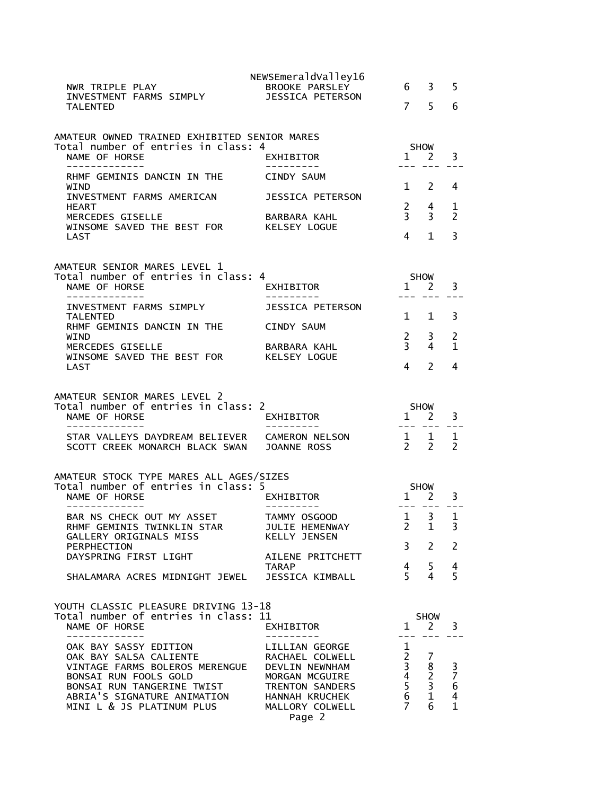| NWR TRIPLE PLAY<br>INVESTMENT FARMS SIMPLY                                                             | NEWSEmeraldValley16<br><b>BROOKE PARSLEY</b><br><b>JESSICA PETERSON</b> | 6                              | 3                           | 5                                                         |
|--------------------------------------------------------------------------------------------------------|-------------------------------------------------------------------------|--------------------------------|-----------------------------|-----------------------------------------------------------|
| <b>TALENTED</b>                                                                                        |                                                                         | $\overline{7}$                 | 5                           | 6                                                         |
| AMATEUR OWNED TRAINED EXHIBITED SENIOR MARES                                                           |                                                                         |                                |                             |                                                           |
| Total number of entries in class: 4<br>NAME OF HORSE<br>-------------                                  | <b>EXHIBITOR</b>                                                        | $\mathbf{1}$                   | <b>SHOW</b><br><sup>2</sup> | 3                                                         |
| RHMF GEMINIS DANCIN IN THE<br>WIND                                                                     | <b>CINDY SAUM</b>                                                       | 1                              | 2                           | 4                                                         |
| INVESTMENT FARMS AMERICAN<br><b>HEART</b>                                                              | JESSICA PETERSON                                                        | $\overline{2}$                 | 4                           | 1                                                         |
| MERCEDES GISELLE<br>WINSOME SAVED THE BEST FOR                                                         | BARBARA KAHL<br>KELSEY LOGUE                                            | $\overline{3}$                 | 3                           | $\mathcal{P}$                                             |
| LAST                                                                                                   |                                                                         | 4                              | $\mathbf{1}$                | 3                                                         |
| AMATEUR SENIOR MARES LEVEL 1<br>Total number of entries in class: 4<br>NAME OF HORSE<br>-------------- | EXHIBITOR                                                               | $\mathbf{1}$                   | <b>SHOW</b><br>-2           | 3                                                         |
| INVESTMENT FARMS SIMPLY<br><b>TALENTED</b>                                                             | <b>JESSICA PETERSON</b>                                                 | 1                              | 1                           | 3                                                         |
| RHMF GEMINIS DANCIN IN THE<br>WIND                                                                     | <b>CINDY SAUM</b>                                                       | $2^{\circ}$                    | 3                           | 2                                                         |
| MERCEDES GISELLE<br>WINSOME SAVED THE BEST FOR                                                         | BARBARA KAHL<br><b>KELSEY LOGUE</b>                                     | $\overline{3}$                 | 4                           | 1                                                         |
| LAST                                                                                                   |                                                                         | 4                              | $\mathcal{P}$               | 4                                                         |
|                                                                                                        |                                                                         |                                |                             |                                                           |
| AMATEUR SENIOR MARES LEVEL 2                                                                           |                                                                         |                                |                             |                                                           |
| Total number of entries in class: 2<br>NAME OF HORSE<br>-----------                                    | EXHIBITOR                                                               | $\mathbf{1}$                   | <b>SHOW</b><br><sup>2</sup> | 3                                                         |
| STAR VALLEYS DAYDREAM BELIEVER<br>SCOTT CREEK MONARCH BLACK SWAN                                       | <b>CAMERON NELSON</b><br>JOANNE ROSS                                    | $2^{\circ}$                    | 1 1<br>$\mathcal{P}$        | 1<br>$\mathcal{P}$                                        |
| AMATEUR STOCK TYPE MARES ALL AGES/SIZES                                                                |                                                                         |                                |                             |                                                           |
| Total number of entries in class: 5<br>NAME OF HORSE                                                   | EXHIBITOR                                                               | $\mathbf{1}$                   | SHOW<br>$\mathbf{2}$        | 3                                                         |
| BAR NS CHECK OUT MY ASSET                                                                              | TAMMY OSGOOD                                                            | $- - -$<br>$\mathbf{1}$        | 3                           | $\mathbf 1$                                               |
| RHMF GEMINIS TWINKLIN STAR<br>GALLERY ORIGINALS MISS                                                   | JULIE HEMENWAY<br><b>KELLY JENSEN</b>                                   | $\overline{2}$                 | $\mathbf{1}$                | 3                                                         |
| PERPHECTION<br>DAYSPRING FIRST LIGHT                                                                   | AILENE PRITCHETT<br><b>TARAP</b>                                        | 3<br>$\overline{4}$            | 2<br>5                      | 2                                                         |
| SHALAMARA ACRES MIDNIGHT JEWEL                                                                         | JESSICA KIMBALL                                                         | $5^{\circ}$                    | 4                           | 4<br>5                                                    |
| YOUTH CLASSIC PLEASURE DRIVING 13-18                                                                   |                                                                         |                                |                             |                                                           |
| Total number of entries in class: 11<br>NAME OF HORSE<br>-----------                                   | EXHIBITOR                                                               |                                | <b>SHOW</b><br>$1 \quad 2$  | 3                                                         |
| OAK BAY SASSY EDITION<br>OAK BAY SALSA CALIENTE                                                        | LILLIAN GEORGE<br>RACHAEL COLWELL                                       | 1<br>$\overline{2}$            | 7                           |                                                           |
| VINTAGE FARMS BOLEROS MERENGUE  DEVLIN NEWNHAM<br>BONSAI RUN FOOLS GOLD                                | MORGAN MCGUIRE                                                          | $\overline{3}$<br>$\mathbf{A}$ | 8<br>$\overline{2}$         | $\frac{3}{7}$                                             |
| BONSAI RUN TANGERINE TWIST<br>ABRIA'S SIGNATURE ANIMATION<br>MINI L & JS PLATINUM PLUS                 | TRENTON SANDERS<br>HANNAH KRUCHEK<br>MALLORY COLWELL                    | 5<br>6<br>$\overline{7}$       | 3<br>$\mathbf{1}$<br>6      | $\overline{6}$<br>$\overline{\mathbf{4}}$<br>$\mathbf{1}$ |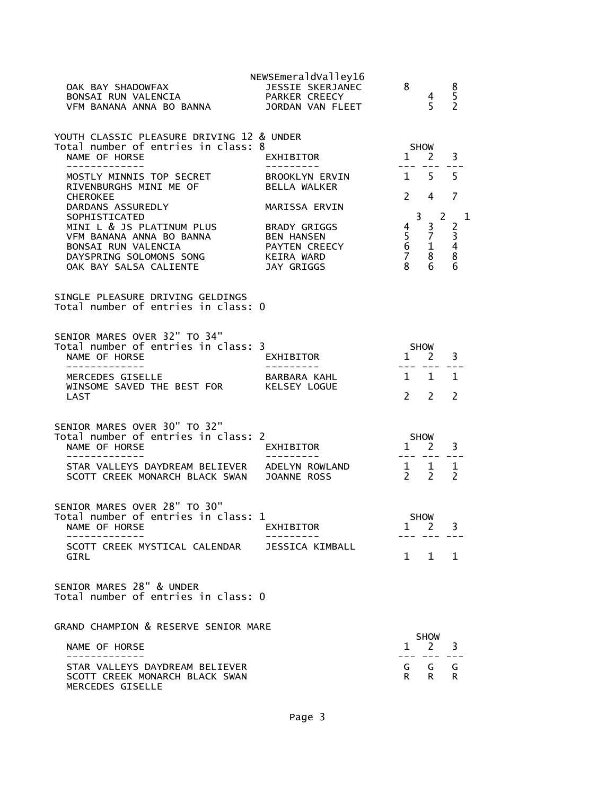| OAK BAY SHADOWFAX<br><b>BONSAI RUN VALENCIA ANNA PARKER CREECY<br/>VFM BANANA ANNA BO BANNA AND JORDAN VAN FLEET</b>                                                         | NEWSEmeraldValley16<br>JESSIE SKERJANEC   | 8 <sup>8</sup>                                                                                                   | $\overline{4}$<br>5 <sup>7</sup>     | $\begin{array}{c} 8 \\ 5 \end{array}$<br>$\overline{2}$ |  |
|------------------------------------------------------------------------------------------------------------------------------------------------------------------------------|-------------------------------------------|------------------------------------------------------------------------------------------------------------------|--------------------------------------|---------------------------------------------------------|--|
| YOUTH CLASSIC PLEASURE DRIVING 12 & UNDER<br>Total number of entries in class: 8<br>NAME OF HORSE<br>_____________                                                           | EXHIBITOR                                 | <b>SHOW</b><br>$1 \quad 2$                                                                                       |                                      | 3                                                       |  |
| MOSTLY MINNIS TOP SECRET<br>RIVENBURGHS MINI ME OF<br><b>CHEROKEE</b>                                                                                                        | BROOKLYN ERVIN<br>BELLA WALKER            | $1\quad 5$                                                                                                       | $2 \quad 4$                          | 5<br>7                                                  |  |
| DARDANS ASSUREDLY<br>SOPHISTICATED                                                                                                                                           | MARISSA ERVIN                             | $\overline{3}$                                                                                                   | 2                                    |                                                         |  |
| MINI L & JS PLATINUM PLUS          BRADY GRIGGS<br>VFM BANANA ANNA BO BANNA           BEN HANSEN<br>BONSAI RUN VALENCIA<br>DAYSPRING SOLOMONS SONG<br>OAK BAY SALSA CALIENTE | PAYTEN CREECY<br>KEIRA WARD<br>JAY GRIGGS | $\overline{4}$<br>$\begin{array}{ccc} 4 & 5 & 2 \\ 5 & 7 & 3 \\ 6 & 1 & 4 \\ 7 & 8 & 8 \\ 8 & 6 & 6 \end{array}$ | $\overline{3}$                       | 1<br>$\overline{2}$                                     |  |
| SINGLE PLEASURE DRIVING GELDINGS<br>Total number of entries in class: 0                                                                                                      |                                           |                                                                                                                  |                                      |                                                         |  |
| SENIOR MARES OVER 32" TO 34"<br>Total number of entries in class: 3<br>NAME OF HORSE<br>--------------                                                                       | EXHIBITOR                                 | SHOW<br>1 2 3                                                                                                    |                                      |                                                         |  |
| MERCEDES GISELLE<br>WINSOME SAVED THE BEST FOR KELSEY LOGUE<br>LAST                                                                                                          | BARBARA KAHL                              | $\mathcal{P}$                                                                                                    | $1 \quad 1 \quad 1$<br>$\mathcal{P}$ | $\mathcal{P}$                                           |  |
|                                                                                                                                                                              |                                           |                                                                                                                  |                                      |                                                         |  |
| SENIOR MARES OVER 30" TO 32"<br>Total number of entries in class: 2<br>NAME OF HORSE                                                                                         | EXHIBITOR                                 | <b>SHOW</b><br>$1\quad 2$                                                                                        |                                      | 3                                                       |  |
| --------------<br>STAR VALLEYS DAYDREAM BELIEVER ADELYN ROWLAND<br>SCOTT CREEK MONARCH BLACK SWAN JOANNE ROSS                                                                |                                           | $\begin{array}{cccc}\n1 & 1 & 1 \\ 2 & 2 & 2\n\end{array}$                                                       |                                      |                                                         |  |
| SENIOR MARES OVER 28" TO 30"<br>Total number of entries in class: 1<br>NAME OF HORSE                                                                                         | EXHIBITOR                                 | $\mathbf{1}$                                                                                                     | <b>SHOW</b><br>2                     | 3                                                       |  |
| SCOTT CREEK MYSTICAL CALENDAR<br>GIRL                                                                                                                                        | JESSICA KIMBALL                           |                                                                                                                  | 1 1 1                                |                                                         |  |
| SENIOR MARES 28" & UNDER<br>Total number of entries in class: 0                                                                                                              |                                           |                                                                                                                  |                                      |                                                         |  |
| GRAND CHAMPION & RESERVE SENIOR MARE                                                                                                                                         |                                           |                                                                                                                  | SHOW                                 |                                                         |  |
| NAME OF HORSE                                                                                                                                                                |                                           | $\mathbf{1}$                                                                                                     | 2                                    | 3                                                       |  |
| STAR VALLEYS DAYDREAM BELIEVER<br>SCOTT CREEK MONARCH BLACK SWAN                                                                                                             |                                           | R.                                                                                                               | G G<br>R.                            | G<br>R.                                                 |  |

MERCEDES GISELLE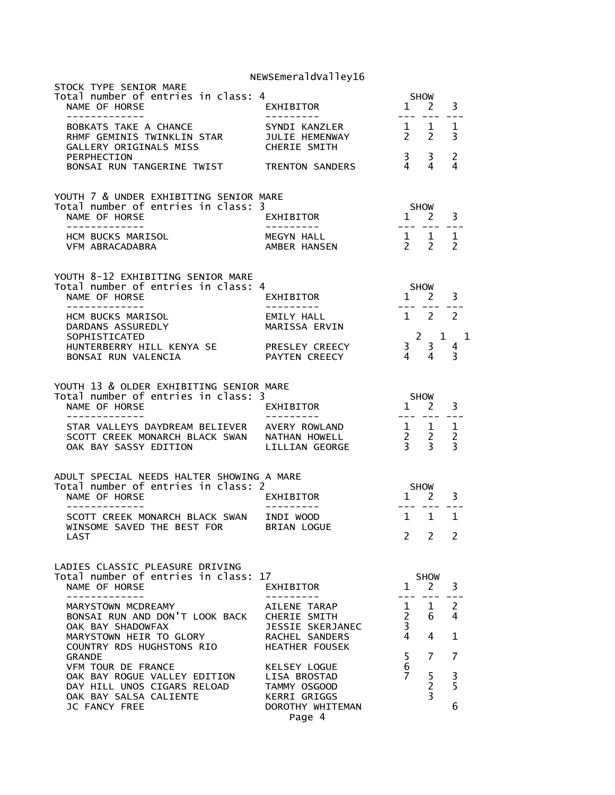| STOCK TYPE SENIOR MARE<br>Total number of entries in class: 4<br>NAME OF HORSE<br>-------------                       | ⊧<br>EXHIBITOR<br>----------                                                         |                                          | SHOW<br>$1 \quad 2$<br>---- ---                                                                                                                                                                                                                                                                                                                                                                                                                                                                                            | 3                   |
|-----------------------------------------------------------------------------------------------------------------------|--------------------------------------------------------------------------------------|------------------------------------------|----------------------------------------------------------------------------------------------------------------------------------------------------------------------------------------------------------------------------------------------------------------------------------------------------------------------------------------------------------------------------------------------------------------------------------------------------------------------------------------------------------------------------|---------------------|
|                                                                                                                       |                                                                                      |                                          |                                                                                                                                                                                                                                                                                                                                                                                                                                                                                                                            | 1<br>3              |
| PERPHECTION<br>BONSAI RUN TANGERINE TWIST TRENTON SANDERS                                                             |                                                                                      | $3 \overline{3}$                         | $4 \quad 4$                                                                                                                                                                                                                                                                                                                                                                                                                                                                                                                | 2<br>4              |
| YOUTH 7 & UNDER EXHIBITING SENIOR MARE<br>Total number of entries in class: 3<br>NAME OF HORSE<br>-------------       | EXHIBITOR<br>----------                                                              |                                          | <b>SHOW</b><br>$1 \quad 2$<br>$\begin{tabular}{ll} \multicolumn{2}{c} {\textbf{1}} & \multicolumn{2}{c} {\textbf{2}} & \multicolumn{2}{c} {\textbf{3}} & \multicolumn{2}{c} {\textbf{4}} & \multicolumn{2}{c} {\textbf{5}} & \multicolumn{2}{c} {\textbf{6}} & \multicolumn{2}{c} {\textbf{7}} & \multicolumn{2}{c} {\textbf{8}} & \multicolumn{2}{c} {\textbf{9}} & \multicolumn{2}{c} {\textbf{1}} & \multicolumn{2}{c} {\textbf{1}} & \multicolumn{2}{c} {\textbf{1}} & \multicolumn{2}{c} {\textbf{1}} & \multicolumn$ | 3                   |
| HCM BUCKS MARISOL<br>VFM ABRACADABRA                                                                                  | MEGYN HALL<br>AMBER HANSEN                                                           |                                          | $\begin{array}{ccccc}\n1 & 1 & 1 \\ 2 & 2 & 2\n\end{array}$                                                                                                                                                                                                                                                                                                                                                                                                                                                                |                     |
| YOUTH 8-12 EXHIBITING SENIOR MARE<br>Total number of entries in class: 4<br>NAME OF HORSE<br>--------------           | <b>EXHIBITOR</b>                                                                     | $\frac{1}{2}$                            | <b>SHOW</b><br>$1$ $2$ $3$                                                                                                                                                                                                                                                                                                                                                                                                                                                                                                 |                     |
| HCM BUCKS MARISOL<br>DARDANS ASSUREDLY<br>SOPHISTICATED                                                               | EMILY HALL<br>MARISSA ERVIN                                                          |                                          | 1 2 2                                                                                                                                                                                                                                                                                                                                                                                                                                                                                                                      | $2 \quad 1 \quad 1$ |
| HUNTERBERRY HILL KENYA SE<br>BONSAI RUN VALENCIA                                                                      | PRESLEY CREECY                                                                       |                                          |                                                                                                                                                                                                                                                                                                                                                                                                                                                                                                                            |                     |
| YOUTH 13 & OLDER EXHIBITING SENIOR MARE<br>Total number of entries in class: 3<br>NAME OF HORSE<br>--------------     | EXHIBITOR                                                                            |                                          | $1$ $2$ $3$                                                                                                                                                                                                                                                                                                                                                                                                                                                                                                                |                     |
| STAR VALLEYS DAYDREAM BELIEVER AVERY ROWLAND<br>SCOTT CREEK MONARCH BLACK SWAN NATHAN HOWELL<br>OAK BAY SASSY EDITION | BELIEVER AVERY ROWLAND 1 1 1<br>ACK SWAN NATHAN HOWELL 2 2 2<br>LILLIAN GEORGE 3 3 3 |                                          | $- - - - - - -$                                                                                                                                                                                                                                                                                                                                                                                                                                                                                                            |                     |
| ADULT SPECIAL NEEDS HALTER SHOWING A MARE<br>Total number of entries in class: 2<br>NAME OF HORSE<br>--------------   | EXHIBITOR<br>----------                                                              |                                          | SHOW<br>1 2 3<br>--- ---                                                                                                                                                                                                                                                                                                                                                                                                                                                                                                   |                     |
| SCOTT CREEK MONARCH BLACK SWAN INDI WOOD<br>WINSOME SAVED THE BEST FOR BRIAN LOGUE<br>LAST                            |                                                                                      | 2                                        | 1 1 1<br>$\mathbf{2}$                                                                                                                                                                                                                                                                                                                                                                                                                                                                                                      | 2                   |
| LADIES CLASSIC PLEASURE DRIVING                                                                                       |                                                                                      |                                          |                                                                                                                                                                                                                                                                                                                                                                                                                                                                                                                            |                     |
| Total number of entries in class: 17<br>NAME OF HORSE<br>-----------                                                  | EXHIBITOR                                                                            | --- -                                    | <b>SHOW</b><br>$1 \quad 2$<br>$\frac{1}{2}$                                                                                                                                                                                                                                                                                                                                                                                                                                                                                | 3<br>$= -1$         |
| MARYSTOWN MCDREAMY<br>BONSAI RUN AND DON'T LOOK BACK<br>OAK BAY SHADOWFAX                                             | AILENE TARAP<br>CHERIE SMITH<br>JESSIE SKERJANEC                                     | $1 \quad$<br>$2^{\circ}$<br>$\mathbf{3}$ | 1<br>6                                                                                                                                                                                                                                                                                                                                                                                                                                                                                                                     | 2<br>4              |
| MARYSTOWN HEIR TO GLORY<br>COUNTRY RDS HUGHSTONS RIO<br><b>GRANDE</b>                                                 | RACHEL SANDERS<br><b>HEATHER FOUSEK</b>                                              | $\overline{4}$<br>5                      | 4<br>7                                                                                                                                                                                                                                                                                                                                                                                                                                                                                                                     | $\mathbf{1}$<br>7   |
| VFM TOUR DE FRANCE<br>OAK BAY ROGUE VALLEY EDITION<br>DAY HILL UNOS CIGARS RELOAD<br>OAK BAY SALSA CALIENTE           | KELSEY LOGUE<br>LISA BROSTAD<br>TAMMY OSGOOD<br><b>KERRI GRIGGS</b>                  | 6<br>7 <sup>7</sup>                      | 5 <sub>1</sub><br>$\overline{2}$<br>$\overline{3}$                                                                                                                                                                                                                                                                                                                                                                                                                                                                         | 3<br>5              |
| <b>JC FANCY FREE</b>                                                                                                  | DOROTHY WHITEMAN<br>Page 4                                                           |                                          |                                                                                                                                                                                                                                                                                                                                                                                                                                                                                                                            | 6                   |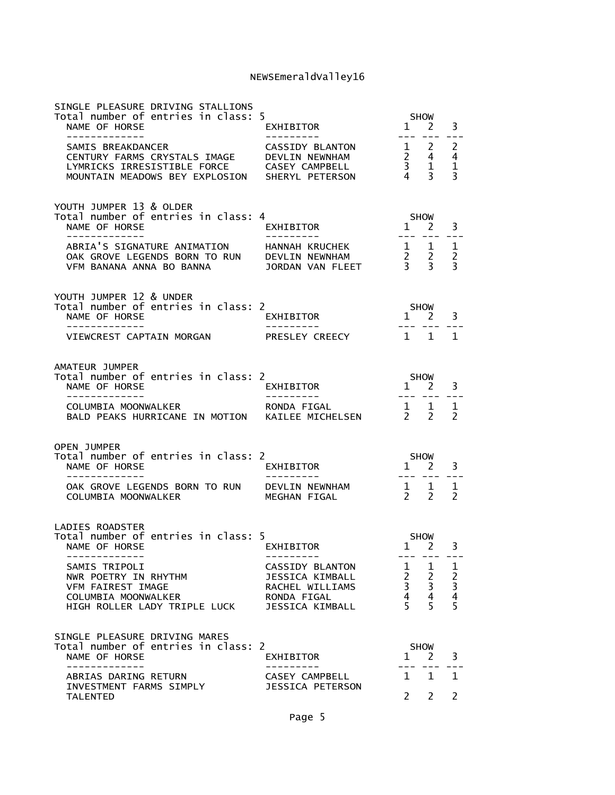| SINGLE PLEASURE DRIVING STALLIONS<br>Total number of entries in class: 5<br>NAME OF HORSE<br>-------------                                        | EXHIBITOR<br>----------                                                                                          | $\mathbf{1}$<br>$   \,$    | <b>SHOW</b><br><sup>2</sup><br>$\frac{1}{2}$                                                    | 3<br>$- - -$       |
|---------------------------------------------------------------------------------------------------------------------------------------------------|------------------------------------------------------------------------------------------------------------------|----------------------------|-------------------------------------------------------------------------------------------------|--------------------|
| SAMIS BREAKDANCER<br>CENTURY FARMS CRYSTALS IMAGE DEVLIN NEWNHAM<br>LYMRICKS IRRESISTIBLE FORCE<br>MOUNTAIN MEADOWS BEY EXPLOSION SHERYL PETERSON | CASSIDY BLANTON 1 2 2<br>DEVLIN NEWNHAM 2 4 4<br>CASEY CAMPBELL 3 1 1<br>SHERYL PETERSON 4 3 3<br>CASEY CAMPBELL |                            |                                                                                                 |                    |
| YOUTH JUMPER 13 & OLDER<br>Total number of entries in class: 4<br>NAME OF HORSE<br>-------------                                                  | EXHIBITOR                                                                                                        |                            | SHOW<br>$1 \overline{2}$                                                                        | 3                  |
| VFM BANANA ANNA BO BANNA                                                                                                                          | 1 1 1 1 1 1 1<br>1 DEVLIN NEWNHAM 1 2 2 2<br>1 JORDAN VAN FLEET 1 3 3 3                                          |                            |                                                                                                 |                    |
| YOUTH JUMPER 12 & UNDER<br>Total number of entries in class: 2<br>NAME OF HORSE                                                                   | EXHIBITOR                                                                                                        |                            | SHOW<br>$1$ 2                                                                                   | 3                  |
| -------------<br>VIEWCREST CAPTAIN MORGAN                                                                                                         | ----------<br>PRESLEY CREECY                                                                                     |                            | $1 \quad 1$                                                                                     | $\mathbf{1}$       |
| AMATEUR JUMPER<br>Total number of entries in class: 2<br>NAME OF HORSE                                                                            | $1 \overline{2}$<br><b>EXHIBITOR</b>                                                                             | <b>SHOW</b>                |                                                                                                 | 3                  |
| COLUMBIA MOONWALKER<br>COLUMBIA MOONWALKER<br>BALD PEAKS HURRICANE IN MOTION KAILEE MICHELSEN 2 2 2                                               |                                                                                                                  |                            |                                                                                                 |                    |
| <b>OPEN JUMPER</b><br>Total number of entries in class: 2<br>NAME OF HORSE<br>-------------                                                       | EXHIBITOR<br>__________                                                                                          |                            | <b>SHOW</b><br>$1 \overline{2}$<br>--- --- ---                                                  | 3                  |
| OAK GROVE LEGENDS BORN TO RUN DEVLIN NEWNHAM<br>COLUMBIA MOONWALKER                                                                               | MEGHAN FIGAL                                                                                                     |                            | $\begin{matrix} 1 & 1 \\ 2 & 2 \end{matrix}$                                                    | 1<br>$\mathcal{P}$ |
| <b>LADIES ROADSTER</b>                                                                                                                            |                                                                                                                  |                            |                                                                                                 |                    |
| Total number of entries in class: 5<br>NAME OF HORSE<br>-------------                                                                             | EXHIBITOR<br>----------                                                                                          | $1 \quad 2$                | SHOW<br>--- --- ---                                                                             | 3                  |
| SAMIS TRIPOLI<br>NWR POETRY IN RHYTHM<br>VFM FAIREST IMAGE<br>COLUMBIA MOONWALKER<br>HIGH ROLLER LADY TRIPLE LUCK                                 | CASSIDY BLANTON<br>JESSICA KIMBALL<br>RACHEL WILLIAMS<br>RONDA FIGAL<br>JESSICA KIMBALL                          |                            | $\begin{array}{cccc} 1 & 1 & 1 \\ 2 & 2 & 2 \\ 3 & 3 & 3 \\ 4 & 4 & 4 \\ 5 & 5 & 5 \end{array}$ |                    |
| SINGLE PLEASURE DRIVING MARES<br>Total number of entries in class: 2<br>NAME OF HORSE<br>-----------                                              | EXHIBITOR                                                                                                        |                            | SHOW<br>$1 \quad 2$<br>                                                                         | 3                  |
| ABRIAS DARING RETURN<br>INVESTMENT FARMS SIMPLY                                                                                                   | CASEY CAMPBELL<br>JESSICA PETERSON                                                                               | $1 \quad 1$<br>$2^{\circ}$ |                                                                                                 | 1<br>2             |
| <b>TALENTED</b>                                                                                                                                   |                                                                                                                  |                            | $2^{\circ}$                                                                                     |                    |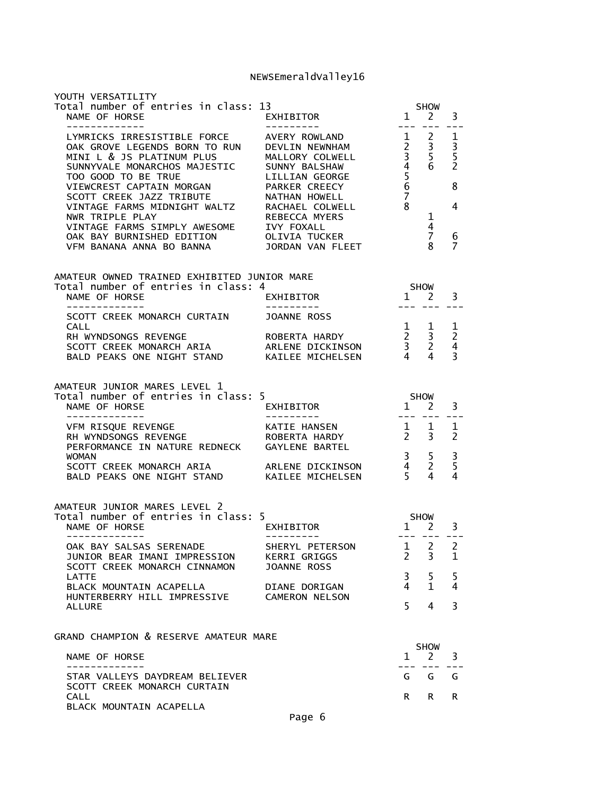| YOUTH VERSATILITY<br>Total number of entries in class: 13 SHOW<br>NAME OF HORSE EXHIBITOR 1 2                                                                                                                                                  |                                                            |                                |                               | 3                   |
|------------------------------------------------------------------------------------------------------------------------------------------------------------------------------------------------------------------------------------------------|------------------------------------------------------------|--------------------------------|-------------------------------|---------------------|
| EXAMPLE CONSIDER THE PORCE<br>CONSIDER THE STATISTIBLE FORCE<br>CONSIDER THE STATISTIBLE FORCE<br>NINI L & JS PLATINUM PLUS<br>MINI L & JS PLATINUM PLUS<br>MINI L & JS PLATINUM PLUS<br>MALLORY COLWELL<br>3 5 5<br>SUNNYVALE MONARCHOS MAJES |                                                            |                                |                               | 6<br>$\overline{7}$ |
| AMATEUR OWNED TRAINED EXHIBITED JUNIOR MARE                                                                                                                                                                                                    |                                                            |                                |                               |                     |
| Total number of entries in class: 4<br>NAME OF HORSE<br>EXHIBITOR<br>---------<br>--------------                                                                                                                                               | SHOW <sub>1</sub>                                          |                                | $1 \t 2 \t 3$                 |                     |
| SCOTT CREEK MONARCH CURTAIN JOANNE ROSS                                                                                                                                                                                                        |                                                            |                                |                               |                     |
| CALL<br>RH WYNDSONGS REVENGE<br>SCOTT CREEK MONARCH ARIA<br>BALD PEAKS ONE NIGHT STAND<br>RELEME DICKINSON 3 2 4<br>BALD PEAKS ONE NIGHT STAND<br>KAILEE MICHELSEN 4 4 3                                                                       |                                                            |                                |                               |                     |
| AMATEUR JUNIOR MARES LEVEL 1<br>Total number of entries in class: 5<br>NAME OF HORSE<br>-------------                                                                                                                                          | $X = \begin{bmatrix} 1 & 2 & 3 \\ 2 & 3 & 5 \end{bmatrix}$ |                                |                               |                     |
| PERFORMANCE IN NATURE REDNECK GAYLENE BARTEL                                                                                                                                                                                                   |                                                            |                                |                               |                     |
| WOMAN 3 5 3<br>SCOTT CREEK MONARCH ARIA ARLENE DICKINSON 4 2 5<br>BALD PEAKS ONE NIGHT STAND KAILEE MICHELSEN 5 4 4                                                                                                                            |                                                            |                                |                               |                     |
| AMATEUR JUNIOR MARES LEVEL 2<br>Total number of entries in class: 5                                                                                                                                                                            |                                                            |                                |                               |                     |
| NAME OF HORSE<br>------------                                                                                                                                                                                                                  |                                                            |                                | --- --- ---                   |                     |
| OAK BAY SALSAS SERENADE<br>JUNIOR BEAR IMANI IMPRESSION<br>SCOTT CREEK MONARCH CINNAMON                                                                                                                                                        | SHERYL PETERSON<br>KERRI GRIGGS<br><b>JOANNE ROSS</b>      | $\mathbf{1}$<br>$\overline{2}$ | 2<br>3                        | 2<br>1              |
| LATTE<br>BLACK MOUNTAIN ACAPELLA<br>HUNTERBERRY HILL IMPRESSIVE                                                                                                                                                                                | DIANE DORIGAN<br><b>CAMERON NELSON</b>                     | 3<br>4                         | 5<br>$\mathbf{1}$             | 5<br>4              |
| ALLURE                                                                                                                                                                                                                                         |                                                            | 5                              | 4                             | 3                   |
| GRAND CHAMPION & RESERVE AMATEUR MARE                                                                                                                                                                                                          |                                                            |                                |                               |                     |
| NAME OF HORSE<br>. _ _ _ _ _ _ _ _ _ _ _                                                                                                                                                                                                       |                                                            | $\mathbf{1}$                   | <b>SHOW</b><br>$\overline{2}$ | 3                   |
| STAR VALLEYS DAYDREAM BELIEVER<br>SCOTT CREEK MONARCH CURTAIN                                                                                                                                                                                  |                                                            | G                              | G                             | G                   |
| <b>CALL</b><br>BLACK MOUNTAIN ACAPELLA                                                                                                                                                                                                         |                                                            | R.                             | R.                            | R.                  |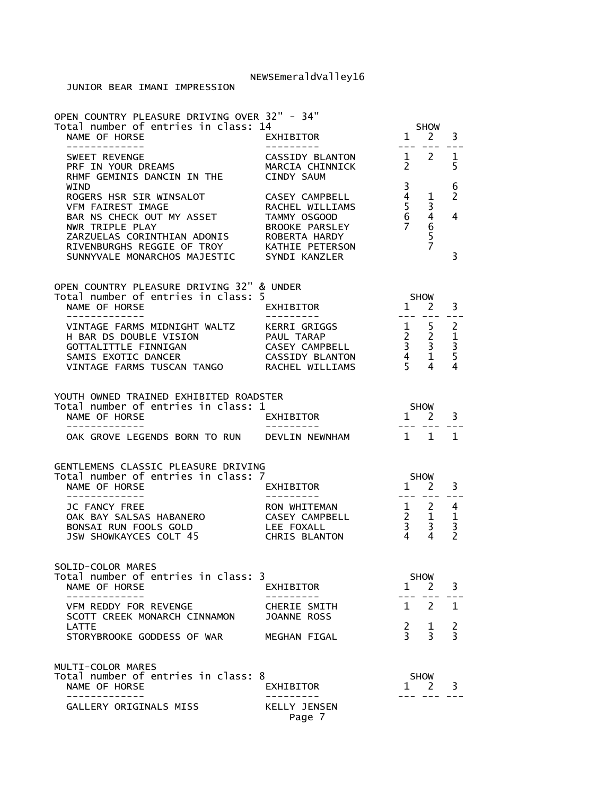| OPEN COUNTRY PLEASURE DRIVING OVER 32" - 34"<br>Total number of entries in class: 14<br>NAME OF HORSE                                                                                                                                                | EXHIBITOR                                                                                                                     |                                                                                                                                                                                                                                                                                                                                                                                              | <b>SHOW</b><br>$1 \quad 2$  | 3                                                              |
|------------------------------------------------------------------------------------------------------------------------------------------------------------------------------------------------------------------------------------------------------|-------------------------------------------------------------------------------------------------------------------------------|----------------------------------------------------------------------------------------------------------------------------------------------------------------------------------------------------------------------------------------------------------------------------------------------------------------------------------------------------------------------------------------------|-----------------------------|----------------------------------------------------------------|
| -------------<br>SWEET REVENGE<br>PRF IN YOUR DREAMS<br>RHMF GEMINIS DANCIN IN THE                                                                                                                                                                   | ---------<br>CASSIDY BLANTON 1 2<br>MARCIA CHINNICK <sub>2</sub><br>CINDY SAUM                                                | $\frac{1}{2} \frac{1}{2} \frac{1}{2} \frac{1}{2} \frac{1}{2} \frac{1}{2} \frac{1}{2} \frac{1}{2} \frac{1}{2} \frac{1}{2} \frac{1}{2} \frac{1}{2} \frac{1}{2} \frac{1}{2} \frac{1}{2} \frac{1}{2} \frac{1}{2} \frac{1}{2} \frac{1}{2} \frac{1}{2} \frac{1}{2} \frac{1}{2} \frac{1}{2} \frac{1}{2} \frac{1}{2} \frac{1}{2} \frac{1}{2} \frac{1}{2} \frac{1}{2} \frac{1}{2} \frac{1}{2} \frac{$ |                             | $\mathbf{1}$<br>5                                              |
| <b>WTND</b><br>ROGERS HSR SIR WINSALOT<br>VFM FAIREST IMAGE<br>BAR NS CHECK OUT MY ASSET<br>NWR TRIPLE PLAY<br>ZARZUELAS CORINTHIAN ADONIS ROBERTA HARDY<br>RIVENBURGHS REGGIE OF TROY KATHIE PETERSON<br>SUNNYVALE MONARCHOS MAJESTIC SYNDI KANZLER | CASEY CAMPBELL<br>RACHEL WILLIAMS<br>TAMMY OSGOOD<br>BROOKE PARSLEY                                                           | 3<br>$\overline{4}$<br>$\frac{5}{6}$<br>$\overline{7}$                                                                                                                                                                                                                                                                                                                                       | 1<br>3<br>465               | 6<br>2<br>4<br>3                                               |
| OPEN COUNTRY PLEASURE DRIVING 32" & UNDER<br>Total number of entries in class: 5                                                                                                                                                                     |                                                                                                                               | <b>SHOW</b>                                                                                                                                                                                                                                                                                                                                                                                  |                             |                                                                |
| NAME OF HORSE<br>-------------                                                                                                                                                                                                                       | EXHIBITOR<br>----------                                                                                                       | $\overline{1}$<br>--------                                                                                                                                                                                                                                                                                                                                                                   | <sup>2</sup>                | 3<br>$- -$                                                     |
| VINTAGE FARMS MIDNIGHT WALTZ KERRI GRIGGS<br>H BAR DS DOUBLE VISION<br>GOTTALITTLE FINNIGAN<br>SAMIS EXOTIC DANCER<br>VINTAGE FARMS TUSCAN TANGO RACHEL WILLIAMS                                                                                     | $\begin{array}{ccc} 1 & 5 \\ 2 & 2 \\ 3 & 3 \\ 4 & 1 \\ 5 & 4 \end{array}$<br>PAUL TARAP<br>CASEY CAMPBELL<br>CASSIDY BLANTON |                                                                                                                                                                                                                                                                                                                                                                                              |                             | 2<br>$1\,$<br>$\overline{3}$<br>5<br>4                         |
| YOUTH OWNED TRAINED EXHIBITED ROADSTER<br>Total number of entries in class: 1<br>NAME OF HORSE<br>-------------                                                                                                                                      | EXHIBITOR                                                                                                                     | $1 \quad 2$<br>$\begin{tabular}{ll} \multicolumn{2}{c}{\multicolumn{2}{c}{\multicolumn{2}{c}{\multicolumn{2}{c}{\multicolumn{2}{c}{\multicolumn{2}{c}{\multicolumn{2}{c}{\multicolumn{2}{c}{\multicolumn{2}{c}{\multicolumn{2}{c}{\multicolumn{2}{c}{\multicolumn{2}{c}{\textbf{1}}}}}}}} \quad \multicolumn{2}{c}{\hspace{0.2cm}} \end{tabular}$                                            | <b>SHOW</b>                 | 3<br>$- - -$                                                   |
| OAK GROVE LEGENDS BORN TO RUN DEVLIN NEWNHAM                                                                                                                                                                                                         |                                                                                                                               | 1 1                                                                                                                                                                                                                                                                                                                                                                                          |                             | $\mathbf{1}$                                                   |
|                                                                                                                                                                                                                                                      |                                                                                                                               |                                                                                                                                                                                                                                                                                                                                                                                              |                             |                                                                |
| GENTLEMENS CLASSIC PLEASURE DRIVING<br>Total number of entries in class: 7<br>NAME OF HORSE<br>--------------                                                                                                                                        | EXHIBITOR<br>----------                                                                                                       | <b>SHOW</b><br>$\frac{1}{1}$ $\frac{2}{1}$                                                                                                                                                                                                                                                                                                                                                   |                             | 3                                                              |
| JC FANCY FREE<br>OAK BAY SALSAS HABANERO<br>BONSAI RUN FOOLS GOLD<br>JSW SHOWKAYCES COLT 45                                                                                                                                                          | RON WHITEMAN<br>$\frac{1}{2}$ 2<br>CASEY CAMPBELL<br>LEE FOXALL<br><b>CHRIS BLANTON</b>                                       | $\begin{array}{ccc} 2 & 1 \\ 3 & 3 \\ 4 & 4 \end{array}$                                                                                                                                                                                                                                                                                                                                     |                             | 4<br>$\mathbf{1}$<br>$\overline{\mathbf{3}}$<br>$\overline{2}$ |
| SOLID-COLOR MARES<br>Total number of entries in class: 3                                                                                                                                                                                             |                                                                                                                               |                                                                                                                                                                                                                                                                                                                                                                                              | <b>SHOW</b>                 |                                                                |
| NAME OF HORSE                                                                                                                                                                                                                                        | <b>EXHIBITOR</b><br>-----                                                                                                     |                                                                                                                                                                                                                                                                                                                                                                                              | 1 2                         | 3                                                              |
| VFM REDDY FOR REVENGE<br>SCOTT CREEK MONARCH CINNAMON                                                                                                                                                                                                | CHERIE SMITH<br><b>JOANNE ROSS</b>                                                                                            |                                                                                                                                                                                                                                                                                                                                                                                              | $1 \quad 2$                 | $\mathbf{1}$                                                   |
| LATTE<br>STORYBROOKE GODDESS OF WAR                                                                                                                                                                                                                  | MEGHAN FIGAL                                                                                                                  | $\frac{2}{3}$                                                                                                                                                                                                                                                                                                                                                                                | 1<br>$\overline{3}$         | $\frac{2}{3}$                                                  |
| MULTI-COLOR MARES<br>Total number of entries in class: 8<br>NAME OF HORSE<br>_____________                                                                                                                                                           | EXHIBITOR                                                                                                                     | 1                                                                                                                                                                                                                                                                                                                                                                                            | <b>SHOW</b><br><sup>2</sup> | 3                                                              |
| GALLERY ORIGINALS MISS                                                                                                                                                                                                                               | <b>KELLY JENSEN</b><br>Page 7                                                                                                 |                                                                                                                                                                                                                                                                                                                                                                                              |                             |                                                                |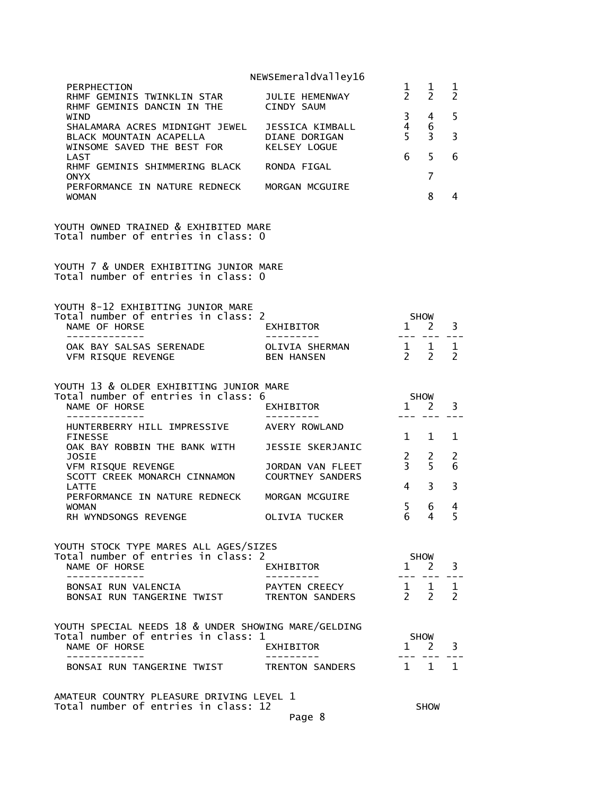| PERPHECTION                                                                                                 |                                             | $\mathbf{1}$                                    | $\mathbf 1$                                  | 1                  |
|-------------------------------------------------------------------------------------------------------------|---------------------------------------------|-------------------------------------------------|----------------------------------------------|--------------------|
| RHMF GEMINIS TWINKLIN STAR<br>RHMF GEMINIS DANCIN IN THE                                                    | JULIE HEMENWAY<br>CINDY SAUM                | $\overline{2}$                                  | $\overline{2}$                               | $\overline{2}$     |
| WIND<br>SHALAMARA ACRES MIDNIGHT JEWEL JESSICA KIMBALL<br>BLACK MOUNTAIN ACAPELLA                           | DIANE DORIGAN                               | $\overline{3}$<br>$\overline{4}$<br>$5^{\circ}$ | 4<br>6<br>3                                  | 5<br>3             |
| WINSOME SAVED THE BEST FOR<br>LAST                                                                          | KELSEY LOGUE                                | 6                                               | 5                                            | 6                  |
| RHMF GEMINIS SHIMMERING BLACK RONDA FIGAL<br><b>ONYX</b>                                                    |                                             |                                                 | 7                                            |                    |
| PERFORMANCE IN NATURE REDNECK MORGAN MCGUIRE<br><b>WOMAN</b>                                                |                                             |                                                 | 8                                            | 4                  |
| YOUTH OWNED TRAINED & EXHIBITED MARE<br>Total number of entries in class: 0                                 |                                             |                                                 |                                              |                    |
| YOUTH 7 & UNDER EXHIBITING JUNIOR MARE<br>Total number of entries in class: 0                               |                                             |                                                 |                                              |                    |
| YOUTH 8-12 EXHIBITING JUNIOR MARE                                                                           |                                             |                                                 |                                              |                    |
| Total number of entries in class: 2<br>NAME OF HORSE<br>-------------                                       | EXHIBITOR                                   | $\overline{A}$ SHOW<br>1 2                      |                                              | 3                  |
| OAK BAY SALSAS SERENADE OLIVIA SHERMAN 1 1<br>VFM RISQUE REVENGE                                            | BEN HANSEN                                  | $2 \quad 2$                                     |                                              | 1<br>$\mathcal{P}$ |
| YOUTH 13 & OLDER EXHIBITING JUNIOR MARE                                                                     |                                             |                                                 |                                              |                    |
| Total number of entries in class: 6<br>NAME OF HORSE<br>-------------                                       | EXHIBITOR<br>---------                      | <b>SHOW</b><br>$1 \quad 2$                      |                                              | 3                  |
| HUNTERBERRY HILL IMPRESSIVE AVERY ROWLAND<br>FINESSE                                                        |                                             | $1 \quad 1$                                     |                                              | 1                  |
| OAK BAY ROBBIN THE BANK WITH<br>JOSIE                                                                       | JESSIE SKERJANIC                            | $\begin{array}{ccc} 2 & 2 \\ 3 & 5 \end{array}$ |                                              | 2                  |
| VFM RISQUE REVENGE<br>SCOTT CREEK MONARCH CINNAMON                                                          | JORDAN VAN FLEET<br><b>COURTNEY SANDERS</b> |                                                 |                                              | 6                  |
| <b>LATTE</b><br>PERFORMANCE IN NATURE REDNECK                                                               | MORGAN MCGUIRE                              | $4 \quad$                                       | 3                                            | 3                  |
| <b>WOMAN</b><br>RH WYNDSONGS REVENGE                                                                        | OLIVIA TUCKER                               | 5 <sup>1</sup><br>6                             | 6<br>4                                       | 4<br>5             |
| YOUTH STOCK TYPE MARES ALL AGES/SIZES<br>Total number of entries in class: 2<br>NAME OF HORSE               | EXHIBITOR                                   |                                                 | <b>SHOW</b><br>$1 \quad 2$                   | 3                  |
| . _ _ _ _ _ _ _ _ _ _ _ _<br>BONSAI RUN VALENCIA<br>BONSAI RUN TANGERINE TWIST                              | PAYTEN CREECY<br>TRENTON SANDERS            |                                                 | $\begin{matrix} 1 & 1 \\ 2 & 2 \end{matrix}$ | 1<br>$\mathcal{P}$ |
| YOUTH SPECIAL NEEDS 18 & UNDER SHOWING MARE/GELDING<br>Total number of entries in class: 1<br>NAME OF HORSE | EXHIBITOR                                   | $1 \quad 2$                                     | <b>SHOW</b>                                  | 3                  |
| - - - - - - - - - -<br>BONSAI RUN TANGERINE TWIST                                                           | TRENTON SANDERS                             | $\overline{1}$                                  | 1                                            | 1                  |
|                                                                                                             |                                             |                                                 |                                              |                    |

AMATEUR COUNTRY PLEASURE DRIVING LEVEL 1 Total number of entries in class: 12 SHOW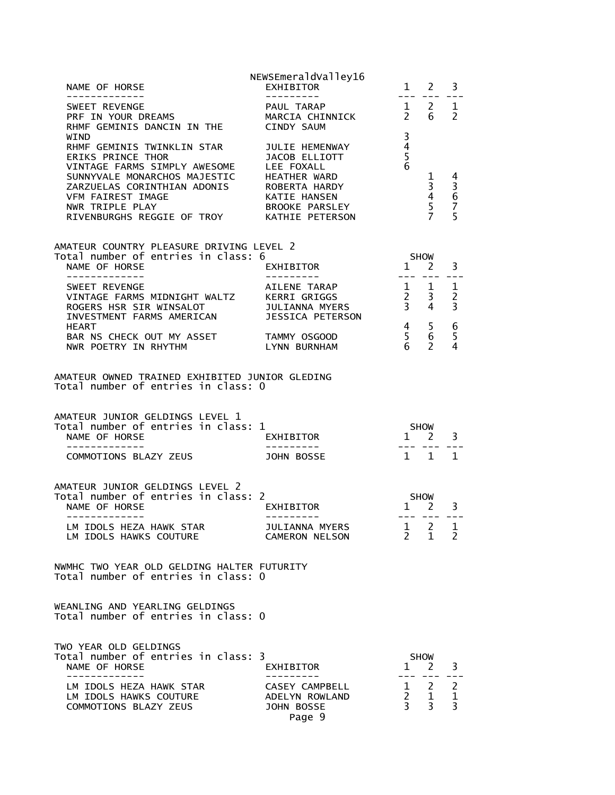|                                                                                                                                                                | NEWSEmeraldValley16                   |                                                                                                             |                                |                     |
|----------------------------------------------------------------------------------------------------------------------------------------------------------------|---------------------------------------|-------------------------------------------------------------------------------------------------------------|--------------------------------|---------------------|
| WIND                                                                                                                                                           |                                       | $\overline{\mathbf{3}}$                                                                                     |                                |                     |
| RHMF GEMINIS TWINKLIN STAR JULIE HEMENWAY<br>SUNNYVALE MONARCHOS MAJESTIC HEATHER WARD<br>RIVENBURGHS REGGIE OF TROY KATHIE PETERSON                           |                                       | $\frac{4}{5}$<br>$\overline{6}$<br>$\begin{array}{r} 1 & 4 \\ 3 & 3 \\ 4 & 6 \\ 5 & 7 \\ 7 & 5 \end{array}$ |                                |                     |
| AMATEUR COUNTRY PLEASURE DRIVING LEVEL 2<br>Total number of entries in class: 6<br>NAME OF HORSE                                                               |                                       | $1 \nightharpoonup 2$                                                                                       | <b>SHOW</b>                    | 3                   |
| -------------                                                                                                                                                  | EXHIBITOR<br>--------<br>AILENE TARAP |                                                                                                             | ---- ---                       |                     |
| BAR NS CHECK OUT MY ASSET TAMMY OSGOOD<br>NWR POETRY IN RHYTHM LYNN BURNHAM                                                                                    |                                       | $\begin{array}{cc} 4 & 5 \\ 5 & 6 \\ 6 & 2 \end{array}$                                                     |                                | 5<br>4              |
| AMATEUR OWNED TRAINED EXHIBITED JUNIOR GLEDING<br>Total number of entries in class: 0                                                                          |                                       |                                                                                                             |                                |                     |
| AMATEUR JUNIOR GELDINGS LEVEL 1<br>Total number of entries in class: $1$<br>NAME OF HORSE<br>NAME OF HONGL<br>------------<br>COMMOTIONS BLAZY ZEUS JOHN BOSSE | <b>EXHIBITOR</b>                      | SHOW<br>1 2 3<br>- --- --- ---                                                                              |                                |                     |
|                                                                                                                                                                |                                       | $1 \quad 1 \quad 1$                                                                                         |                                |                     |
| AMATEUR JUNIOR GELDINGS LEVEL 2<br>Total number of entries in class: 2<br>NAME OF HORSE<br>$\frac{1}{2}$                                                       | EXHIBITOR<br>----------               | SHOW<br>1<br>2                                                                                              | --- --- ---                    | 3                   |
| LM IDOLS HEZA HAWK STAR<br>LM IDOLS HAWKS COUTURE                                                                                                              | JULIANNA MYERS<br>CAMERON NELSON      | $\mathbf{1}$<br>$\overline{2}$                                                                              | $\overline{2}$<br>$\mathbf{1}$ | 1<br>$\overline{2}$ |
| NWMHC TWO YEAR OLD GELDING HALTER FUTURITY<br>Total number of entries in class: 0                                                                              |                                       |                                                                                                             |                                |                     |
| WEANLING AND YEARLING GELDINGS<br>Total number of entries in class: 0                                                                                          |                                       |                                                                                                             |                                |                     |
|                                                                                                                                                                |                                       |                                                                                                             |                                |                     |
| TWO YEAR OLD GELDINGS<br>Total number of entries in class: 3<br>NAME OF HORSE                                                                                  | EXHIBITOR                             | $\mathbf{1}$                                                                                                | <b>SHOW</b><br><sup>2</sup>    | 3                   |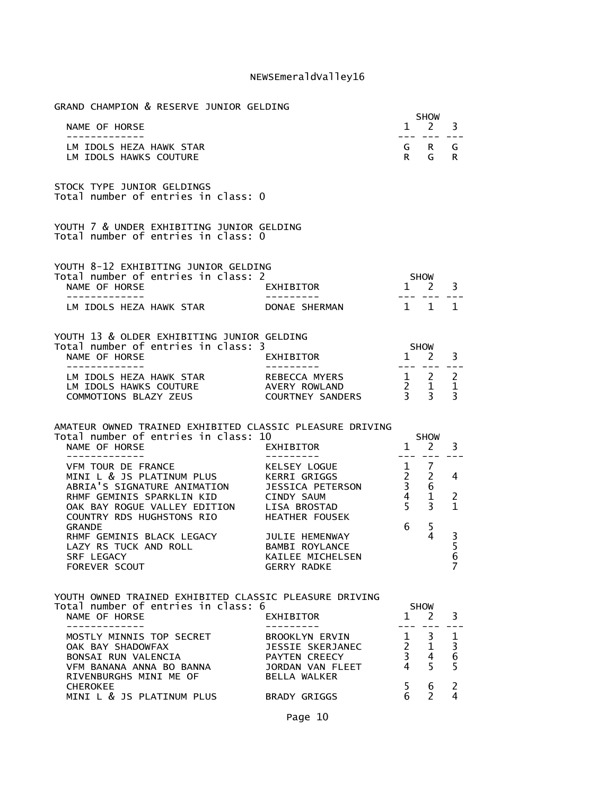| GRAND CHAMPION & RESERVE JUNIOR GELDING                                                                                                                                        |                                                                                                                                               |                                                                      |                                                                  |                         |
|--------------------------------------------------------------------------------------------------------------------------------------------------------------------------------|-----------------------------------------------------------------------------------------------------------------------------------------------|----------------------------------------------------------------------|------------------------------------------------------------------|-------------------------|
| NAME OF HORSE                                                                                                                                                                  |                                                                                                                                               |                                                                      | <b>SHOW</b><br>$1 \quad 2$                                       | 3                       |
| -------------                                                                                                                                                                  |                                                                                                                                               |                                                                      | --- --- ---                                                      |                         |
| LM IDOLS HEZA HAWK STAR<br>LM IDOLS HAWKS COUTURE                                                                                                                              |                                                                                                                                               | R G                                                                  | G R                                                              | G<br>R.                 |
| STOCK TYPE JUNIOR GELDINGS<br>Total number of entries in class: 0                                                                                                              |                                                                                                                                               |                                                                      |                                                                  |                         |
| YOUTH 7 & UNDER EXHIBITING JUNIOR GELDING<br>Total number of entries in class: 0                                                                                               |                                                                                                                                               |                                                                      |                                                                  |                         |
| YOUTH 8-12 EXHIBITING JUNIOR GELDING<br>Total number of entries in class: 2<br>NAME OF HORSE                                                                                   | EXHIBITOR                                                                                                                                     | <b>SHOW</b><br>$1\quad 2$                                            |                                                                  | 3                       |
| -------------<br>LM IDOLS HEZA HAWK STAR                                                                                                                                       | DONAE SHERMAN                                                                                                                                 |                                                                      | $1 \quad 1 \quad 1$                                              |                         |
|                                                                                                                                                                                |                                                                                                                                               |                                                                      |                                                                  |                         |
| YOUTH 13 & OLDER EXHIBITING JUNIOR GELDING                                                                                                                                     |                                                                                                                                               |                                                                      |                                                                  |                         |
| Total number of entries in class: 3<br>NAME OF HORSE                                                                                                                           | EXHIBITOR                                                                                                                                     |                                                                      | $1$ SHOW                                                         | 3                       |
| -------------                                                                                                                                                                  | - - - - - - - - - -                                                                                                                           |                                                                      | $\begin{array}{ccccccccc} - & - & - & - & - & - & - \end{array}$ |                         |
| LM IDOLS HEZA HAWK STAR AREBECCA MYERS<br>LM IDOLS HAWKS COUTURE<br>COMMOTIONS BLAZY ZEUS                                                                                      | REBECCA MYERS $\begin{array}{ccc} 1 & 2 & 2 \\ A \text{VERN} & \text{ROWLAND} & 2 & 1 & 1 \\ \text{COUNTNLY SANDERS} & 3 & 3 & 3 \end{array}$ |                                                                      |                                                                  |                         |
|                                                                                                                                                                                |                                                                                                                                               |                                                                      |                                                                  |                         |
| AMATEUR OWNED TRAINED EXHIBITED CLASSIC PLEASURE DRIVING                                                                                                                       |                                                                                                                                               |                                                                      |                                                                  |                         |
| Total number of entries in class: 10<br>NAME OF HORSE                                                                                                                          | EXHIBITOR                                                                                                                                     |                                                                      | <b>SHOW</b><br>$1 \quad 2$                                       | 3                       |
| --------------<br>VFM TOUR DE FRANCE<br>MINI L & JS PLATINUM PLUS<br>ABRIA'S SIGNATURE ANIMATION JESSICA PETERSON<br>RHMF GEMINIS SPARKLIN KID<br>OAK BAY ROGUE VALLEY EDITION | - - - - - - - - - <sup>-</sup><br>KELSEY LOGUE<br>KERRI GRIGGS<br>CINDY SAUM<br>LISA BROSTAD                                                  | $  -$<br>$\begin{array}{c} 1 \\ 2 \\ 3 \end{array}$<br>$\frac{4}{5}$ | $- - -$<br>7<br>2<br>6<br>1<br>3                                 | 4<br>2<br>$\mathbf{1}$  |
| COUNTRY RDS HUGHSTONS RIO<br><b>GRANDE</b>                                                                                                                                     | HEATHER FOUSEK                                                                                                                                | 6                                                                    | 5                                                                |                         |
| RHMF GEMINIS BLACK LEGACY<br>LAZY RS TUCK AND ROLL<br>SRF LEGACY<br>FOREVER SCOUT                                                                                              | JULIE HEMENWAY<br>BAMBI ROYLANCE<br>KAILEE MICHELSEN<br><b>GERRY RADKE</b>                                                                    |                                                                      | 4                                                                | $\frac{3}{5}$<br>6<br>7 |
|                                                                                                                                                                                |                                                                                                                                               |                                                                      |                                                                  |                         |
| YOUTH OWNED TRAINED EXHIBITED CLASSIC PLEASURE DRIVING<br>Total number of entries in class: 6                                                                                  |                                                                                                                                               |                                                                      | <b>SHOW</b>                                                      |                         |
| NAME OF HORSE                                                                                                                                                                  | EXHIBITOR                                                                                                                                     | $1 \quad 2$                                                          |                                                                  | 3                       |
| ------------<br>MOSTLY MINNIS TOP SECRET                                                                                                                                       | BROOKLYN ERVIN                                                                                                                                | $\mathbf{1}$                                                         | 3 <sup>7</sup>                                                   | $\mathbf 1$             |
| OAK BAY SHADOWFAX                                                                                                                                                              | JESSIE SKERJANEC                                                                                                                              |                                                                      |                                                                  |                         |
| BONSAI RUN VALENCIA<br>VFM BANANA ANNA BO BANNA                                                                                                                                | PAYTEN CREECY<br>JORDAN VAN FLEET 4                                                                                                           | $\begin{array}{cc} 2 & 1 \\ 3 & 4 \end{array}$                       | 5                                                                | $\frac{1}{6}$           |
| RIVENBURGHS MINI ME OF<br><b>CHEROKEE</b><br>MINI L & JS PLATINUM PLUS BRADY GRIGGS                                                                                            | BELLA WALKER                                                                                                                                  | 5<br>6                                                               | 6<br>2                                                           | $\overline{2}$<br>4     |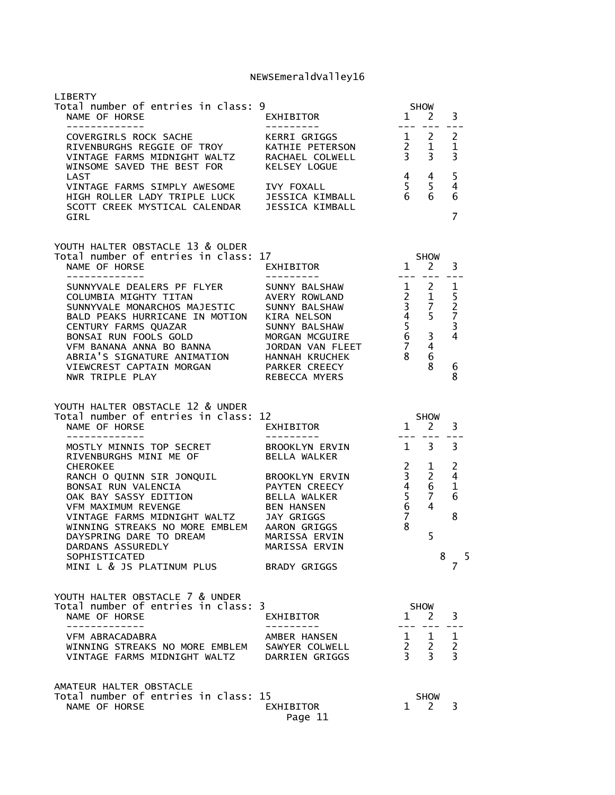| LIBERTY<br>Total number of entries in class: 9<br>NAME OF HORSE<br>-------------                                                                                                                                                                    | EXHIBITOR                                                                                         |                                                                             | SHOW<br>$1 \quad 2$<br>--- --- <b>-</b>                                                         | 3<br>$- - -$                        |
|-----------------------------------------------------------------------------------------------------------------------------------------------------------------------------------------------------------------------------------------------------|---------------------------------------------------------------------------------------------------|-----------------------------------------------------------------------------|-------------------------------------------------------------------------------------------------|-------------------------------------|
| WINSOME SAVED THE BEST FOR                                                                                                                                                                                                                          | ---------<br>KERRI GRIGGS<br><b>KELSEY LOGUE</b>                                                  |                                                                             |                                                                                                 |                                     |
| LAST<br>VINTAGE FARMS SIMPLY AWESOME IVY FOXALL<br>HIGH ROLLER LADY TRIPLE LUCK JESSICA KIMBALL<br>SCOTT CREEK MYSTICAL CALENDAR JESSICA KIMBALL<br>GIRL                                                                                            |                                                                                                   | 5 <sub>5</sub><br>$6\overline{6}$                                           | $4 \quad 4$<br>6                                                                                | 5<br>$\overline{4}$<br>6<br>7       |
| YOUTH HALTER OBSTACLE 13 & OLDER<br>Total number of entries in class: 17                                                                                                                                                                            |                                                                                                   |                                                                             | SHOW 1 2 3                                                                                      |                                     |
| NAME OF HORSE<br>_____________                                                                                                                                                                                                                      | EXHIBITOR                                                                                         | $- - -$                                                                     |                                                                                                 |                                     |
| SUNNYVALE DEALERS PF FLYER<br>COLUMBIA MIGHTY TITAN<br>SUNNYVALE MONARCHOS MAJESTIC<br>BALD PEAKS HURRICANE IN MOTION<br>CENTURY FARMS QUAZAR<br>CENTURY FARMS QUAZAR<br>BONSAI RUN FOOLS GOLD<br>BONSAI RUN FOOLS GOLD<br>VFM BANANA ANNA BO BANNA | SUNNY BALSHAW<br>AVERY ROWLAND<br>SUNNY BALSHAW<br>KIRA NELSON<br>SUNNY BALSHAW<br>MORGAN MCGUIRE |                                                                             | $\frac{1}{2}$ $\frac{2}{1}$<br>$\begin{array}{cc} 3 & 7 \\ 4 & 5 \\ 5 & 3 \\ 7 & 4 \end{array}$ | 1<br>5<br>$\frac{2}{7}$<br>3<br>4   |
| VFM BANANA ANNA BO BANNA         JORDAN VAN FLEET<br>ABRIA'S SIGNATURE ANIMATION     HANNAH KRUCHEK<br>VIEWCREST CAPTAIN MORGAN PARKER CREECY<br>NWR TRIPLE PLAY                                                                                    | JORDAN VAN FLEET<br>REBECCA MYERS                                                                 | 8                                                                           | - 6<br>8                                                                                        | 6<br>8                              |
| YOUTH HALTER OBSTACLE 12 & UNDER<br>Total number of entries in class: 12<br>NAME OF HORSE                                                                                                                                                           | $1$ SHOW<br>EXHIBITOR                                                                             |                                                                             |                                                                                                 | 3                                   |
|                                                                                                                                                                                                                                                     |                                                                                                   |                                                                             |                                                                                                 |                                     |
| -------------<br>MOSTLY MINNIS TOP SECRET<br>RIVENBURGHS MINI ME OF                                                                                                                                                                                 | ----------<br>BROOKLYN ERVIN<br>BELLA WALKER                                                      |                                                                             | $1 \quad 3$                                                                                     | 3                                   |
| <b>CHEROKEE</b><br>RANCH O QUINN SIR JONQUIL BROOKLYN ERVIN                                                                                                                                                                                         | PAYTEN CREECY                                                                                     | $2^{\circ}$<br>3 <sup>7</sup>                                               | $\mathbf{1}$<br>$\overline{2}$<br>6                                                             | $\overline{c}$<br>4<br>$\mathbf{1}$ |
| BONSAI RUN VALENCIA<br>OAK BAY SASSY EDITION<br><b>VFM MAXIMUM REVENGE</b>                                                                                                                                                                          | BELLA WALKER<br><b>BEN HANSEN</b>                                                                 | $\begin{matrix} 4 & 6 \\ 5 & 7 \\ 6 & 4 \end{matrix}$<br>$\frac{6}{7}$<br>8 |                                                                                                 | 6<br>8                              |
| VINTAGE FARMS MIDNIGHT WALTZ JAY GRIGGS<br>WINNING STREAKS NO MORE EMBLEM AARON GRIGGS<br>DAYSPRING DARE TO DREAM<br>DARDANS ASSUREDLY<br>SOPHISTICATED                                                                                             | MARISSA ERVIN<br>MARISSA ERVIN                                                                    |                                                                             | 5<br>8                                                                                          |                                     |
| MINI L & JS PLATINUM PLUS BRADY GRIGGS                                                                                                                                                                                                              |                                                                                                   |                                                                             |                                                                                                 | -5<br>7                             |
| YOUTH HALTER OBSTACLE 7 & UNDER<br>Total number of entries in class: 3<br>NAME OF HORSE                                                                                                                                                             | EXHIBITOR                                                                                         |                                                                             | SHOW<br>$1 \quad 2 \quad 3$                                                                     |                                     |
| VFM ABRACADABRA<br>WINNING STREAKS NO MORE EMBLEM SAWYER COLWELL                                                                                                                                                                                    | AMBER HANSEN                                                                                      | $---$                                                                       |                                                                                                 |                                     |
| VINTAGE FARMS MIDNIGHT WALTZ DARRIEN GRIGGS                                                                                                                                                                                                         |                                                                                                   |                                                                             | $\begin{array}{ccc} 1 & 1 & 1 \\ 2 & 2 & 2 \\ 3 & 3 & 3 \end{array}$                            |                                     |
| AMATEUR HALTER OBSTACLE<br>Total number of entries in class: 15                                                                                                                                                                                     |                                                                                                   |                                                                             | <b>SHOW</b>                                                                                     |                                     |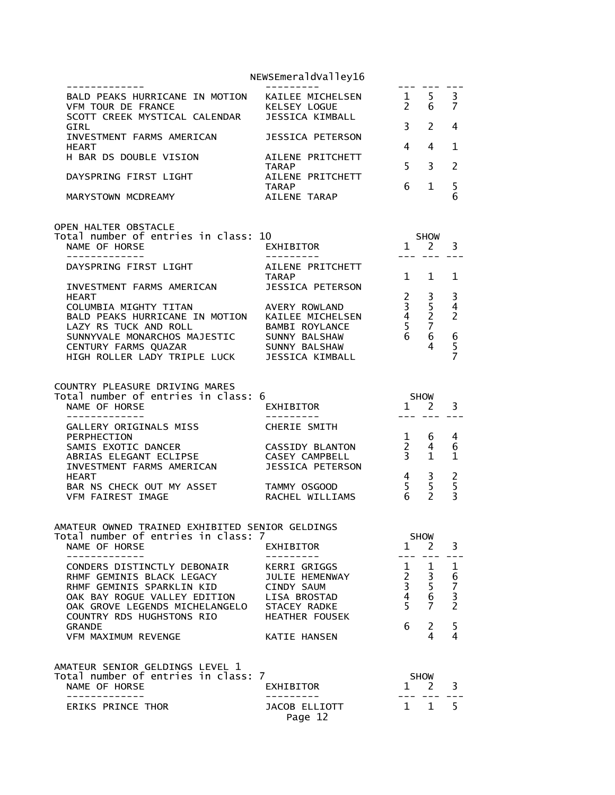|                                                                                                                   | NEWSEmeraldValley16                                 |                                |                             |                                  |
|-------------------------------------------------------------------------------------------------------------------|-----------------------------------------------------|--------------------------------|-----------------------------|----------------------------------|
| BALD PEAKS HURRICANE IN MOTION<br>VFM TOUR DE FRANCE<br>SCOTT CREEK MYSTICAL CALENDAR                             | KAILEE MICHELSEN<br>KELSEY LOGUE<br>JESSICA KIMBALL | $2^{\circ}$                    | $\frac{1}{2}$ 5<br>6        | 3<br>7                           |
| GIRL                                                                                                              |                                                     | 3 <sup>7</sup>                 | $\mathcal{P}$               | 4                                |
| INVESTMENT FARMS AMERICAN<br><b>HEART</b>                                                                         | JESSICA PETERSON                                    | 4                              | 4                           | 1                                |
| H BAR DS DOUBLE VISION                                                                                            | AILENE PRITCHETT<br>TARAP                           | 5                              | 3                           | 2                                |
| DAYSPRING FIRST LIGHT                                                                                             | AILENE PRITCHETT<br><b>TARAP</b>                    | 6                              | $\mathbf 1$                 | 5                                |
| MARYSTOWN MCDREAMY                                                                                                | AILENE TARAP                                        |                                |                             | 6                                |
| OPEN HALTER OBSTACLE<br>Total number of entries in class: 10                                                      |                                                     |                                | <b>SHOW</b>                 |                                  |
| NAME OF HORSE<br>------------                                                                                     | EXHIBITOR                                           |                                | $1 \quad 2$                 | 3                                |
| DAYSPRING FIRST LIGHT                                                                                             | AILENE PRITCHETT<br>TARAP                           | $\mathbf{1}$                   | $\mathbf{1}$                | $\mathbf 1$                      |
| INVESTMENT FARMS AMERICAN<br><b>HEART</b>                                                                         | JESSICA PETERSON                                    | $\overline{2}$                 | 3                           | 3                                |
| COLUMBIA MIGHTY TITAN<br>BALD PEAKS HURRICANE IN MOTION KAILEE MICHELSEN                                          | AVERY ROWLAND                                       | $\overline{3}$                 | 5<br>$\overline{2}$         | $\overline{4}$<br>$\overline{2}$ |
|                                                                                                                   | BAMBI ROYLANCE                                      | $\frac{4}{5}$                  | $\overline{7}$              |                                  |
| LAZY RS TUCK AND RULL<br>SUNNYVALE MONARCHOS MAJESTIC SUNNY BALSHAW<br>SUNNYVALE MONARCHOS MAJESTIC SUNNY BALSHAW | SUNNY BALSHAW                                       | $\overline{6}$                 | 6<br>4                      | $rac{6}{5}$                      |
| HIGH ROLLER LADY TRIPLE LUCK                                                                                      | JESSICA KIMBALL                                     |                                |                             |                                  |
| COUNTRY PLEASURE DRIVING MARES                                                                                    |                                                     |                                |                             |                                  |
| Total number of entries in class: 6<br>NAME OF HORSE                                                              | EXHIBITOR                                           | $1 \quad 2$<br>$- - -$         | SHOW                        | 3                                |
| GALLERY ORIGINALS MISS<br>PERPHECTION                                                                             | CHERIE SMITH                                        | 1                              | 6                           | 4                                |
| SAMIS EXOTIC DANCER                                                                                               | <b>CASSIDY BLANTON</b><br>CASEY CAMPBELL            | $\frac{2}{3}$                  | 4<br>$\mathbf{1}$           | 6<br>1                           |
| ABRIAS ELEGANT ECLIPSE<br>INVESTMENT FARMS AMERICAN<br>HEART                                                      | JESSICA PETERSON                                    | $4\overline{ }$                | 3                           |                                  |
| BAR NS CHECK OUT MY ASSET                                                                                         | TAMMY OSGOOD                                        | 5 <sup>1</sup><br>6            | 5<br>$\overline{2}$         | $rac{2}{5}$<br>$\overline{3}$    |
| <b>VFM FAIREST IMAGE</b>                                                                                          | RACHEL WILLIAMS                                     |                                |                             |                                  |
| AMATEUR OWNED TRAINED EXHIBITED SENIOR GELDINGS<br>Total number of entries in class: 7                            |                                                     |                                | <b>SHOW</b>                 |                                  |
| NAME OF HORSE                                                                                                     | EXHIBITOR                                           | $\mathbf{1}$                   | 2                           | 3                                |
| CONDERS DISTINCTLY DEBONAIR<br>RHMF GEMINIS BLACK LEGACY                                                          | <b>KERRI GRIGGS</b><br>JULIE HEMENWAY               | $\mathbf{1}$<br>$\overline{a}$ | 1                           | 1                                |
| RHMF GEMINIS SPARKLIN KID                                                                                         | CINDY SAUM                                          | $\overline{3}$                 | $\frac{3}{5}$               | 6<br>7<br>3<br>2                 |
| OAK BAY ROGUE VALLEY EDITION<br>OAK GROVE LEGENDS MICHELANGELO                                                    | LISA BROSTAD<br><b>STACEY RADKE</b>                 | $\overline{4}$<br>5            | 6<br>7                      |                                  |
| COUNTRY RDS HUGHSTONS RIO<br><b>GRANDE</b>                                                                        | <b>HEATHER FOUSEK</b>                               | 6                              | 2                           | 5                                |
| VFM MAXIMUM REVENGE                                                                                               | <b>KATIE HANSEN</b>                                 |                                | 4                           | 4                                |
| AMATEUR SENIOR GELDINGS LEVEL 1                                                                                   |                                                     |                                |                             |                                  |
| Total number of entries in class: 7<br>NAME OF HORSE                                                              | EXHIBITOR                                           | $\mathbf{1}$                   | <b>SHOW</b><br><sup>2</sup> | 3                                |
| -----------<br><b>ERIKS PRINCE THOR</b>                                                                           | <b>JACOB ELLIOTT</b><br>Page 12                     | 1                              | $\mathbf{1}$                | 5                                |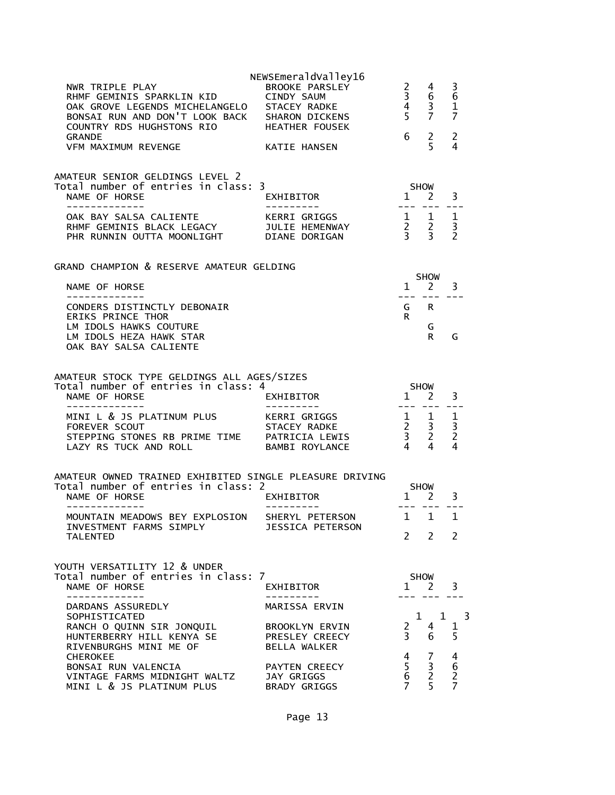| NWR TRIPLE PLAY<br>RHMF GEMINIS SPARKLIN KID        CINDY SAUM<br>OAK GROVE LEGENDS MICHELANGELO   STACEY RADKE<br>BONSAI RUN AND DON'T LOOK BACK SHARON DICKENS<br>COUNTRY RDS HUGHSTONS RIO HEATHER FOUSEK<br><b>GRANDE</b> | NEWSEmeraldValley16<br>BROOKE PARSLEY                 | $\begin{array}{ccc} 2 & 4 \\ 3 & 6 \\ 4 & 3 \end{array}$<br>$5\overline{7}$<br>6   | $2^{\circ}$                                   | 3<br>$6\phantom{1}6$<br>$\mathbf{1}$<br>7<br>$\overline{2}$ |  |
|-------------------------------------------------------------------------------------------------------------------------------------------------------------------------------------------------------------------------------|-------------------------------------------------------|------------------------------------------------------------------------------------|-----------------------------------------------|-------------------------------------------------------------|--|
| <b>VFM MAXIMUM REVENGE</b>                                                                                                                                                                                                    | KATIE HANSEN                                          |                                                                                    | 5                                             | 4                                                           |  |
| AMATEUR SENIOR GELDINGS LEVEL 2<br>Total number of entries in class: 3<br>NAME OF HORSE<br>-------------                                                                                                                      | EXHIBITOR                                             | SHOW<br>$1 \nightharpoonup 2$<br>$- - - - - - -$                                   |                                               | 3                                                           |  |
| OAK BAY SALSA CALIENTE<br>RHMF GEMINIS BLACK LEGACY<br>PHR RUNNIN OUTTA MOONLIGHT DIANE DORIGAN                                                                                                                               | KERRI GRIGGS<br><b>KERRI GRIGOS</b><br>JULIE HEMENWAY | $\begin{array}{ccccc}\n1 & 1 & 1 \\ 2 & 2 & 3 \\ 3 & 3 & 2\n\end{array}$           |                                               |                                                             |  |
| GRAND CHAMPION & RESERVE AMATEUR GELDING                                                                                                                                                                                      |                                                       |                                                                                    |                                               |                                                             |  |
| NAME OF HORSE<br>-------------                                                                                                                                                                                                |                                                       |                                                                                    | <b>SHOW</b><br>$1 \quad 2$<br>$- - - - - - -$ | 3                                                           |  |
| CONDERS DISTINCTLY DEBONAIR<br><b>ERIKS PRINCE THOR</b>                                                                                                                                                                       |                                                       | R.                                                                                 | G R                                           |                                                             |  |
| LM IDOLS HAWKS COUTURE<br>LM IDOLS HEZA HAWK STAR<br>OAK BAY SALSA CALIENTE                                                                                                                                                   |                                                       |                                                                                    | G<br>R.                                       | G                                                           |  |
| AMATEUR STOCK TYPE GELDINGS ALL AGES/SIZES                                                                                                                                                                                    |                                                       |                                                                                    |                                               |                                                             |  |
| Total number of entries in class: 4<br>NAME OF HORSE<br>--------------                                                                                                                                                        | EXHIBITOR<br>---------                                | <b>SHOW</b><br>- <del>- - -</del> - - - -                                          | 1 2                                           | 3<br>$- - -$                                                |  |
| <b>FOREVER SCOUT</b><br>STEPPING STONES RB PRIME TIME PATRICIA LEWIS<br>LAZY RS TUCK AND ROLL                                                                                                                                 | STACEY RADKE<br><b>BAMBI ROYLANCE</b>                 | $\begin{array}{cccc} 1 & 1 & 1 \\ 2 & 3 & 3 \\ 3 & 2 & 2 \\ 4 & 4 & 4 \end{array}$ |                                               |                                                             |  |
| AMATEUR OWNED TRAINED EXHIBITED SINGLE PLEASURE DRIVING                                                                                                                                                                       |                                                       |                                                                                    |                                               |                                                             |  |
| Total number of entries in class: 2<br>NAME OF HORSE                                                                                                                                                                          | EXHIBITOR                                             | $1 \quad 2 \quad 3$                                                                | <b>SHOW</b>                                   |                                                             |  |
| MOUNTAIN MEADOWS BEY EXPLOSION                                                                                                                                                                                                | SHERYL PETERSON                                       | --- ---<br>$\mathbf{1}$                                                            | 1                                             | 1                                                           |  |
| INVESTMENT FARMS SIMPLY<br><b>TALENTED</b>                                                                                                                                                                                    | <b>JESSICA PETERSON</b>                               |                                                                                    | $2 \overline{2}$                              | <sup>2</sup>                                                |  |
| YOUTH VERSATILITY 12 & UNDER<br>Total number of entries in class: 7<br>NAME OF HORSE<br>-------------                                                                                                                         | EXHIBITOR                                             |                                                                                    | SHOW<br>$1 \quad 2 \quad 3$<br>--- ---        |                                                             |  |
| DARDANS ASSUREDLY                                                                                                                                                                                                             | MARISSA ERVIN                                         |                                                                                    |                                               |                                                             |  |
| SOPHISTICATED<br>RANCH O QUINN SIR JONQUIL<br>HUNTERBERRY HILL KENYA SE<br>RIVENBURGHS MINI ME OF                                                                                                                             | BROOKLYN ERVIN<br>PRESLEY CREECY<br>BELLA WALKER      | $2^{\circ}$<br>3 <sup>7</sup>                                                      | 4<br>6                                        | $1 \quad 1 \quad 3$<br>1<br>5                               |  |
| <b>CHEROKEE</b><br>BONSAI RUN VALENCIA<br>VINTAGE FARMS MIDNIGHT WALTZ<br>MINI L & JS PLATINUM PLUS                                                                                                                           | PAYTEN CREECY<br>JAY GRIGGS<br>BRADY GRIGGS           | 4<br>$\frac{5}{6}$<br>$\overline{7}$                                               | 7<br>$\frac{3}{2}$<br>5 <sup>1</sup>          | 4<br>$\,6\,$<br>$\overline{2}$<br>$\overline{7}$            |  |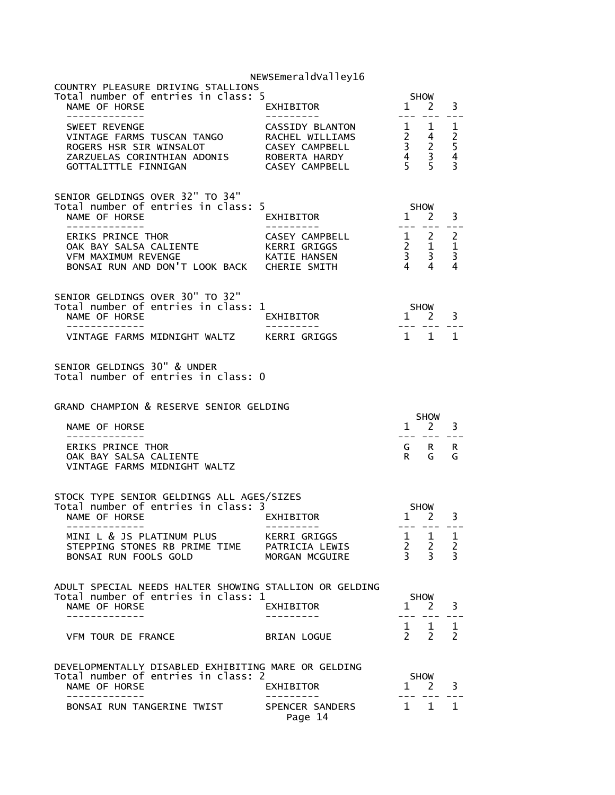|                                                                                                                                                                        | NEWSEmeraldValley16                                                    |                                                                                                                                                                                                                                                                                                                                                                                                                |                                                                                                                                                                                                                                                                                                                                                                              |                                                                   |
|------------------------------------------------------------------------------------------------------------------------------------------------------------------------|------------------------------------------------------------------------|----------------------------------------------------------------------------------------------------------------------------------------------------------------------------------------------------------------------------------------------------------------------------------------------------------------------------------------------------------------------------------------------------------------|------------------------------------------------------------------------------------------------------------------------------------------------------------------------------------------------------------------------------------------------------------------------------------------------------------------------------------------------------------------------------|-------------------------------------------------------------------|
| COUNTRY PLEASURE DRIVING STALLIONS<br>Total number of entries in class: 5                                                                                              |                                                                        |                                                                                                                                                                                                                                                                                                                                                                                                                | <b>SHOW</b>                                                                                                                                                                                                                                                                                                                                                                  |                                                                   |
| NAME OF HORSE<br>-------------                                                                                                                                         | EXHIBITOR                                                              | $   \,$                                                                                                                                                                                                                                                                                                                                                                                                        | $1 \quad 2$                                                                                                                                                                                                                                                                                                                                                                  | 3                                                                 |
| SWEET REVENGE<br>VINTAGE FARMS TUSCAN TANGO<br>ROGERS HSR SIR WINSALOT<br>ROGERS HSR SIR WINSALOT<br>ZARZUELAS CORINTHIAN ADONIS ROBERTA HARDY<br>GOTTALITTLE FINNIGAN | CASSIDY BLANTON<br>RACHEL WILLIAMS<br>CASEY CAMPBELL<br>CASEY CAMPBELL | $\frac{1}{2}$<br>$\begin{array}{ccc} 2 & 4 \\ 3 & 2 \\ 4 & 3 \\ 5 & 5 \end{array}$                                                                                                                                                                                                                                                                                                                             | $\mathbf{1}$                                                                                                                                                                                                                                                                                                                                                                 | 1<br>$\begin{array}{c} 2 \\ 5 \\ 4 \end{array}$<br>$\overline{3}$ |
| SENIOR GELDINGS OVER 32" TO 34"<br>Total number of entries in class: 5<br>NAME OF HORSE<br>-------------                                                               | EXHIBITOR                                                              | $\overline{1}$<br>$\frac{1}{2} \frac{1}{2} \frac{1}{2} \frac{1}{2} \frac{1}{2} \frac{1}{2} \frac{1}{2} \frac{1}{2} \frac{1}{2} \frac{1}{2} \frac{1}{2} \frac{1}{2} \frac{1}{2} \frac{1}{2} \frac{1}{2} \frac{1}{2} \frac{1}{2} \frac{1}{2} \frac{1}{2} \frac{1}{2} \frac{1}{2} \frac{1}{2} \frac{1}{2} \frac{1}{2} \frac{1}{2} \frac{1}{2} \frac{1}{2} \frac{1}{2} \frac{1}{2} \frac{1}{2} \frac{1}{2} \frac{$ | SHOW<br><sup>2</sup>                                                                                                                                                                                                                                                                                                                                                         | 3                                                                 |
| ERIKS PRINCE THOR<br>OAK BAY SALSA CALIENTE KERRI GRIGGS<br><b>VFM MAXIMUM REVENGE</b><br>BONSAI RUN AND DON'T LOOK BACK CHERIE SMITH                                  | <b>CASEY CAMPBELL</b><br>KATIE HANSEN                                  | $\begin{array}{ccccc} 1 & 2 & 2 \\ 2 & 1 & 1 \\ 3 & 3 & 3 \\ 4 & 4 & 4 \end{array}$                                                                                                                                                                                                                                                                                                                            |                                                                                                                                                                                                                                                                                                                                                                              |                                                                   |
| SENIOR GELDINGS OVER 30" TO 32"<br>Total number of entries in class: 1<br>NAME OF HORSE<br>- - - - - - - - - - - - -                                                   | EXHIBITOR                                                              | $1$ $2$ $3$                                                                                                                                                                                                                                                                                                                                                                                                    | $\begin{tabular}{ll} \multicolumn{2}{c}{\multicolumn{2}{c}{\multicolumn{2}{c}{\multicolumn{2}{c}{\multicolumn{2}{c}{\multicolumn{2}{c}{\multicolumn{2}{c}{\multicolumn{2}{c}{\multicolumn{2}{c}{\multicolumn{2}{c}{\multicolumn{2}{c}{\multicolumn{2}{c}{\multicolumn{2}{c}{\textbf{1}}}}}}}}}} \quad \multicolumn{2}{c}{ \multicolumn{2}{c}{\hspace{0.08cm}} \end{tabular}$ |                                                                   |
| VINTAGE FARMS MIDNIGHT WALTZ       KERRI GRIGGS                                                                                                                        |                                                                        | $1 \quad 1$                                                                                                                                                                                                                                                                                                                                                                                                    |                                                                                                                                                                                                                                                                                                                                                                              | $\mathbf{1}$                                                      |
| SENIOR GELDINGS 30" & UNDER<br>Total number of entries in class: 0                                                                                                     |                                                                        |                                                                                                                                                                                                                                                                                                                                                                                                                |                                                                                                                                                                                                                                                                                                                                                                              |                                                                   |
|                                                                                                                                                                        |                                                                        |                                                                                                                                                                                                                                                                                                                                                                                                                |                                                                                                                                                                                                                                                                                                                                                                              |                                                                   |
| GRAND CHAMPION & RESERVE SENIOR GELDING                                                                                                                                |                                                                        |                                                                                                                                                                                                                                                                                                                                                                                                                | <b>SHOW</b>                                                                                                                                                                                                                                                                                                                                                                  |                                                                   |
| NAME OF HORSE                                                                                                                                                          |                                                                        | $- - -$                                                                                                                                                                                                                                                                                                                                                                                                        | $1 \quad 2$<br>--- --                                                                                                                                                                                                                                                                                                                                                        | 3                                                                 |
| ERIKS PRINCE THOR<br>OAK BAY SALSA CALIENTE<br>VINTAGE FARMS MIDNIGHT WALTZ                                                                                            |                                                                        | R                                                                                                                                                                                                                                                                                                                                                                                                              | GRR<br>G                                                                                                                                                                                                                                                                                                                                                                     | G                                                                 |
| STOCK TYPE SENIOR GELDINGS ALL AGES/SIZES                                                                                                                              |                                                                        |                                                                                                                                                                                                                                                                                                                                                                                                                |                                                                                                                                                                                                                                                                                                                                                                              |                                                                   |
| Total number of entries in class: 3<br>NAME OF HORSE                                                                                                                   | EXHIBITOR                                                              |                                                                                                                                                                                                                                                                                                                                                                                                                | <b>SHOW</b><br>$1 \quad 2$                                                                                                                                                                                                                                                                                                                                                   | 3                                                                 |
| -------------<br>MINI L & JS PLATINUM PLUS KERRI GRIGGS<br>STEPPING STONES RB PRIME TIME PATRICIA LEWIS<br>BONSAI RUN FOOLS GOLD                                       | MORGAN MCGUIRE                                                         | $\begin{array}{ccccc} 1 & 1 & 1 \\ 2 & 2 & 2 \\ 3 & 3 & 3 \end{array}$                                                                                                                                                                                                                                                                                                                                         | --- --- ---                                                                                                                                                                                                                                                                                                                                                                  |                                                                   |
| ADULT SPECIAL NEEDS HALTER SHOWING STALLION OR GELDING                                                                                                                 |                                                                        |                                                                                                                                                                                                                                                                                                                                                                                                                |                                                                                                                                                                                                                                                                                                                                                                              |                                                                   |
| Total number of entries in class: 1<br>NAME OF HORSE<br>-------------                                                                                                  | EXHIBITOR                                                              | $---$                                                                                                                                                                                                                                                                                                                                                                                                          | SHOW<br>$1 \quad 2$                                                                                                                                                                                                                                                                                                                                                          | 3                                                                 |
| VFM TOUR DE FRANCE                                                                                                                                                     | BRIAN LOGUE                                                            |                                                                                                                                                                                                                                                                                                                                                                                                                | $\begin{matrix} 1 & 1 \\ 2 & 2 \end{matrix}$                                                                                                                                                                                                                                                                                                                                 | $\mathbf{1}$<br>$\mathcal{P}$                                     |
| DEVELOPMENTALLY DISABLED EXHIBITING MARE OR GELDING<br>Total number of entries in class: 2<br>NAME OF HORSE<br>-------------                                           | EXHIBITOR                                                              |                                                                                                                                                                                                                                                                                                                                                                                                                | SHOW<br>$1 \quad 2$                                                                                                                                                                                                                                                                                                                                                          | 3                                                                 |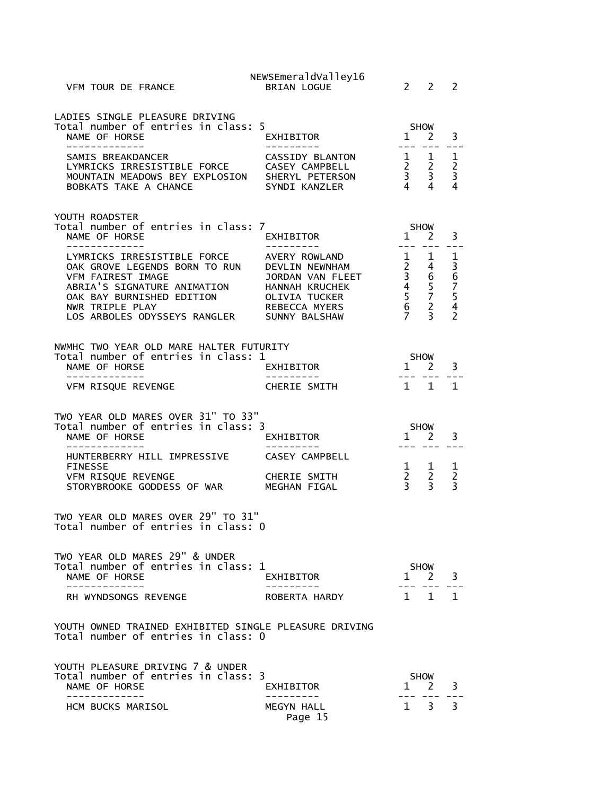| VFM TOUR DE FRANCE                                                                                                                                                                               | NEWSEmeraldValley16<br><b>BRIAN LOGUE</b>                                                                                | $\overline{2}$                                                                          | $\mathcal{P}$                       | 2                                                |
|--------------------------------------------------------------------------------------------------------------------------------------------------------------------------------------------------|--------------------------------------------------------------------------------------------------------------------------|-----------------------------------------------------------------------------------------|-------------------------------------|--------------------------------------------------|
| LADIES SINGLE PLEASURE DRIVING<br>Total number of entries in class: 5<br>NAME OF HORSE<br>-------------                                                                                          | EXHIBITOR<br>---------                                                                                                   | $1 \quad 2$<br>--- ---                                                                  | <b>SHOW</b>                         | 3                                                |
| SAMIS BREAKDANCER<br>LYMRICKS IRRESISTIBLE FORCE<br>MOUNTAIN MEADOWS BEY EXPLOSION SHERYL PETERSON<br>BOBKATS TAKE A CHANCE                                                                      | CASSIDY BLANTON<br>CASEY CAMPBELL<br>SYNDI KANZLER                                                                       | $\frac{1}{2}$ $\frac{1}{2}$<br>$\begin{array}{ccc} 2 & 2 \\ 3 & 3 \\ 4 & 4 \end{array}$ |                                     | 1<br>$\frac{2}{3}$<br>4                          |
| YOUTH ROADSTER<br>Total number of entries in class: 7<br>NAME OF HORSE                                                                                                                           | EXHIBITOR                                                                                                                | SHOW<br>1                                                                               | 2                                   | 3                                                |
| LYMRICKS IRRESISTIBLE FORCE<br>OAK GROVE LEGENDS BORN TO RUN<br>VFM FAIREST IMAGE<br>ABRIA'S SIGNATURE ANIMATION<br>OAK BAY BURNISHED EDITION<br>NWR TRIPLE PLAY<br>LOS ARBOLES ODYSSEYS RANGLER | AVERY ROWLAND<br>DEVLIN NEWNHAM<br>JORDAN VAN FLEET<br>HANNAH KRUCHEK<br>OLIVIA TUCKER<br>REBECCA MYERS<br>SUNNY BALSHAW | $\begin{array}{ccc}\n1 & 4 \\ 2 & 4 \\ 3 & 6 \\ 4 & 5 \\ 5 & 7 \\ 6 & 2\n\end{array}$   |                                     | 1<br>36754<br>$\overline{2}$                     |
| NWMHC TWO YEAR OLD MARE HALTER FUTURITY<br>Total number of entries in class: 1<br>NAME OF HORSE                                                                                                  | EXHIBITOR                                                                                                                |                                                                                         | <b>SHOW</b><br>$1 \quad 2$          | 3                                                |
| ______________<br>VFM RISQUE REVENGE                                                                                                                                                             | CHERIE SMITH                                                                                                             | $\overline{1}$                                                                          | 222 222<br>$\mathbf{1}$             | $\mathbf{1}$                                     |
| TWO YEAR OLD MARES OVER 31" TO 33"<br>Total number of entries in class: 3<br>NAME OF HORSE<br>. <u>.</u>                                                                                         | EXHIBITOR<br>----------                                                                                                  | SHOW<br>$1 \quad 2$                                                                     | --- --- ---                         | 3                                                |
| HUNTERBERRY HILL IMPRESSIVE<br><b>FINESSE</b><br>VFM RISQUE REVENGE<br>STORYBROOKE GODDESS OF WAR                                                                                                | CASEY CAMPBELL<br><b>CHERIE SMITH</b><br>MEGHAN FIGAL                                                                    | $\begin{array}{ccc} 2 & 2 \\ 3 & 3 \end{array}$                                         | $1 \quad 1$                         | $\mathbf{1}$<br>$\overline{2}$<br>$\overline{3}$ |
| TWO YEAR OLD MARES OVER 29" TO 31"<br>Total number of entries in class: 0                                                                                                                        |                                                                                                                          |                                                                                         |                                     |                                                  |
|                                                                                                                                                                                                  |                                                                                                                          |                                                                                         |                                     |                                                  |
| TWO YEAR OLD MARES 29" & UNDER<br>Total number of entries in class: 1<br>NAME OF HORSE<br>. _ _ _ _ _ _ _ _ _ _ _ _<br>RH WYNDSONGS REVENGE                                                      | EXHIBITOR<br>ROBERTA HARDY                                                                                               | $\mathbf{1}$                                                                            | SHOW<br>$1 \quad 2$<br>$\mathbf{1}$ | 3<br>1                                           |
| YOUTH OWNED TRAINED EXHIBITED SINGLE PLEASURE DRIVING<br>Total number of entries in class: 0                                                                                                     |                                                                                                                          |                                                                                         |                                     |                                                  |
| YOUTH PLEASURE DRIVING 7 & UNDER<br>Total number of entries in class: 3<br>NAME OF HORSE<br>. _ _ _ _ _ _ _ _ _ _                                                                                | EXHIBITOR                                                                                                                | 1 2                                                                                     | <b>SHOW</b>                         | 3                                                |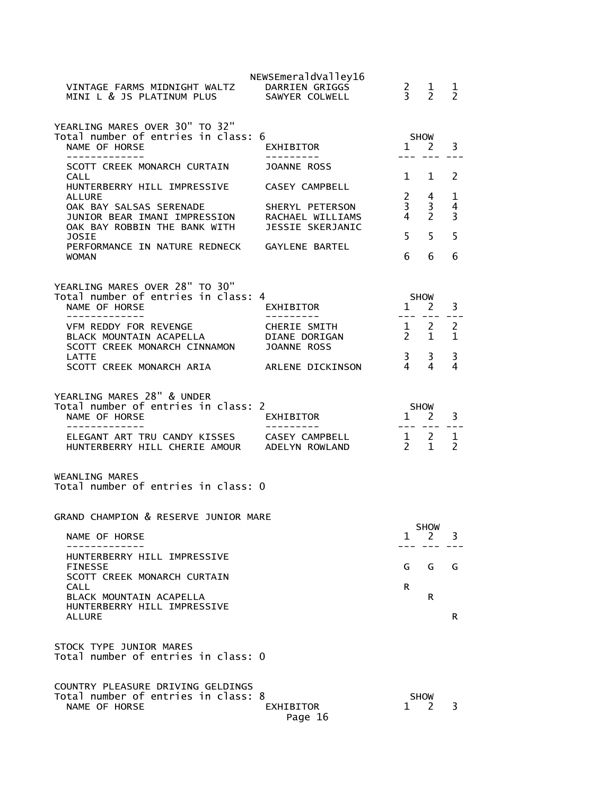|                                                                              | NEWSEmeraldValley16                 |                                                |                                |                     |
|------------------------------------------------------------------------------|-------------------------------------|------------------------------------------------|--------------------------------|---------------------|
| VINTAGE FARMS MIDNIGHT WALTZ<br>MINI L & JS PLATINUM PLUS                    | DARRIEN GRIGGS<br>SAWYER COLWELL    | $\frac{2}{3}$                                  | $\mathbf{1}$<br>$\overline{2}$ | 1<br>$\overline{2}$ |
| YEARLING MARES OVER 30" TO 32"                                               |                                     |                                                |                                |                     |
| Total number of entries in class: 6                                          |                                     |                                                | SHOW                           |                     |
| NAME OF HORSE<br>-------------                                               | EXHIBITOR<br>----------             | $\mathbf{1}$                                   | 2                              | 3                   |
| SCOTT CREEK MONARCH CURTAIN                                                  | JOANNE ROSS                         |                                                |                                |                     |
| CALL<br>HUNTERBERRY HILL IMPRESSIVE                                          | CASEY CAMPBELL                      | $1 \quad$                                      | 1                              | 2                   |
| ALLURE                                                                       |                                     | $2^{\circ}$                                    | 4                              | 1                   |
| OAK BAY SALSAS SERENADE<br>JUNIOR BEAR IMANI IMPRESSION                      | SHERYL PETERSON<br>RACHAEL WILLIAMS | 3 <sup>7</sup><br>$4\overline{ }$              | 3<br>$\mathcal{P}$             | 4<br>3              |
| OAK BAY ROBBIN THE BANK WITH                                                 | JESSIE SKERJANIC                    |                                                |                                |                     |
| JOSIE<br>PERFORMANCE IN NATURE REDNECK                                       | GAYLENE BARTEL                      | 5                                              | 5                              | 5                   |
| <b>WOMAN</b>                                                                 |                                     | 6                                              | 6                              | 6                   |
| YEARLING MARES OVER 28" TO 30"                                               |                                     |                                                |                                |                     |
| Total number of entries in class: 4                                          |                                     |                                                | <b>SHOW</b>                    |                     |
| NAME OF HORSE<br>-----------                                                 | EXHIBITOR                           | 1                                              | $\overline{2}$                 | 3                   |
| VFM REDDY FOR REVENGE                                                        | CHERIE SMITH                        | $\frac{1}{2}$ 2                                |                                | 2                   |
| BLACK MOUNTAIN ACAPELLA<br>SCOTT CREEK MONARCH CINNAMON                      | DIANE DORIGAN<br>JOANNE ROSS        | $\overline{2}$                                 | $\mathbf{1}$                   | $\mathbf{1}$        |
| <b>LATTE</b>                                                                 |                                     | 3 <sup>7</sup>                                 | 3                              | 3                   |
| SCOTT CREEK MONARCH ARIA                                                     | ARLENE DICKINSON                    | $\overline{4}$                                 | 4                              | 4                   |
|                                                                              |                                     |                                                |                                |                     |
|                                                                              |                                     |                                                |                                |                     |
| YEARLING MARES 28" & UNDER<br>Total number of entries in class: 2            |                                     | SHOW                                           |                                |                     |
| NAME OF HORSE<br>------------                                                | EXHIBITOR                           | $\mathbf{1}$                                   | <sup>2</sup>                   | 3                   |
| ELEGANT ART TRU CANDY KISSES CASEY CAMPBELL<br>HUNTERBERRY HILL CHERIE AMOUR | ADELYN ROWLAND                      | $\begin{array}{cc} 1 & 2 \\ 2 & 1 \end{array}$ |                                | 1<br>2              |
| WEANLING MARES<br>Total number of entries in class: 0                        |                                     |                                                |                                |                     |
| GRAND CHAMPION & RESERVE JUNIOR MARE                                         |                                     |                                                |                                |                     |
| NAME OF HORSE                                                                |                                     | $\mathbf{1}$                                   | <b>SHOW</b><br>2               | 3                   |
| HUNTERBERRY HILL IMPRESSIVE                                                  |                                     |                                                |                                |                     |
| <b>FINESSE</b>                                                               |                                     | G                                              | G                              | G                   |
| SCOTT CREEK MONARCH CURTAIN<br>CALL                                          |                                     | R                                              |                                |                     |
| BLACK MOUNTAIN ACAPELLA                                                      |                                     |                                                | R                              |                     |
| HUNTERBERRY HILL IMPRESSIVE<br>ALLURE                                        |                                     |                                                |                                | R                   |
|                                                                              |                                     |                                                |                                |                     |
| STOCK TYPE JUNIOR MARES<br>Total number of entries in class: 0               |                                     |                                                |                                |                     |
|                                                                              |                                     |                                                |                                |                     |
| COUNTRY PLEASURE DRIVING GELDINGS<br>Total number of entries in class: 8     |                                     |                                                | <b>SHOW</b>                    |                     |
| NAME OF HORSE                                                                | EXHIBITOR<br>Page 16                | 1                                              | <sup>2</sup>                   | 3                   |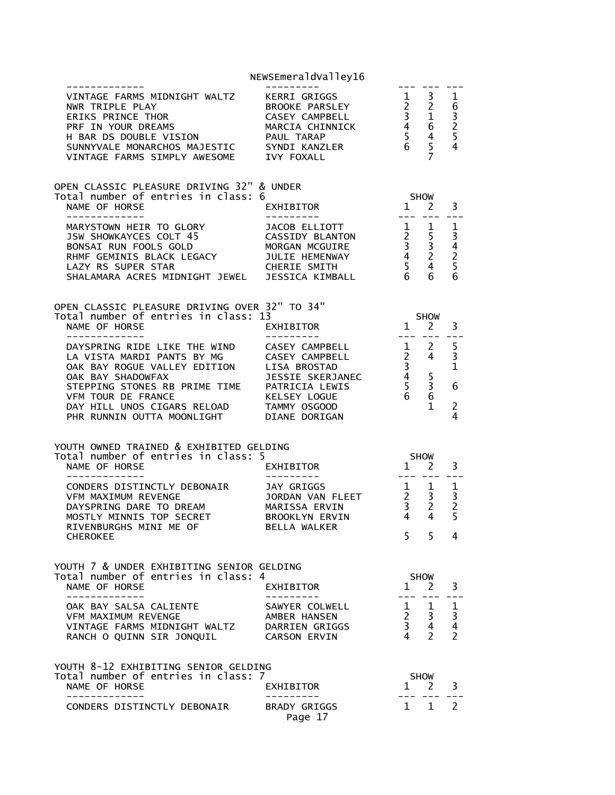|                                                                                                                                                                                                                                                                                                                                              | NEWSEmeraldValley16                                                               |                                                                                                        |                                                                                                              |                                                                 |
|----------------------------------------------------------------------------------------------------------------------------------------------------------------------------------------------------------------------------------------------------------------------------------------------------------------------------------------------|-----------------------------------------------------------------------------------|--------------------------------------------------------------------------------------------------------|--------------------------------------------------------------------------------------------------------------|-----------------------------------------------------------------|
| VINTAGE FARMS MIDNIGHT WALTZ<br>NWR TRIPLE PLAY<br>ERIKS PRINCE THOR<br>PRE IN YOUR DREAMS<br>H BAR DS DOUBLE VISION<br>H BAR DS DOUBLE VISION<br>PAUL TARAP<br>SUNNYVALE MONARCHOS MAJESTIC<br>VINTAGE FARMS SIMPLY AWESOME IVY FOXALL                                                                                                      | KERRI GRIGGS<br>BROOKE PARSLEY                                                    | $\begin{bmatrix} 1 \\ 2 \\ 3 \\ 4 \\ 5 \\ 6 \end{bmatrix}$                                             |                                                                                                              | $\mathbf{1}$<br>63254                                           |
| OPEN CLASSIC PLEASURE DRIVING 32" & UNDER<br>Total number of entries in class: 6<br>NAME OF HORSE                                                                                                                                                                                                                                            | EXHIBITOR                                                                         | <b>SHOW</b><br>$1 \quad 2$                                                                             |                                                                                                              | 3                                                               |
| MARYSTOWN HEIR TO GLORY<br>JSW SHOWKAYCES COLT 45<br>BONSAI RUN FOOLS GOLD<br>RHMF GEMINIS BLACK LEGACY                                                                                                                                                                                                                                      | JACOB ELLIOTT<br>CASSIDY BLANTON<br>MORGAN MCGUIRE<br>JULIE HEMENWAY              | $\begin{array}{ccc} 1 & 1 \\ 2 & 5 \\ 3 & 3 \\ 4 & 2 \\ 5 & 4 \\ 6 & 6 \end{array}$<br>$6\overline{6}$ | 6                                                                                                            | 1<br>3425<br>6                                                  |
| OPEN CLASSIC PLEASURE DRIVING OVER 32" TO 34"<br>Total number of entries in class: 13<br>NAME OF HORSE<br>-------------                                                                                                                                                                                                                      | EXHIBITOR                                                                         | $1\quad 2$                                                                                             | <b>SHOW</b>                                                                                                  | 3                                                               |
| DAYSPRING RIDE LIKE THE WIND CASEY CAMPBELL<br>LA VISTA MARDI PANTS BY MG<br>CASEY CAMPBELL<br>OAK BAY ROGUE VALLEY EDITION LISA BROSTAD<br>OAK BAY SHADOWFAX JESSIE SKERJANEC<br>STEPPING STONES RB PRIME TIME PATRICIA LEWIS<br>VFM TOUR DE FRANCE<br>DAY HILL UNOS CIGARS RELOAD TAMMY OSGOOD<br>PHR RUNNIN OUTTA MOONLIGHT DIANE DORIGAN | $\begin{array}{ccc}\n1 & 2 \\ 2 & 4\n\end{array}$<br>KELSEY LOGUE                 | $\begin{array}{c} 3 \\ 3 \\ 4 \\ 5 \\ 6 \end{array}$                                                   | 5<br>3<br>6<br>$\mathbf{1}$                                                                                  | 5<br>$\overline{3}$<br>$\mathbf{1}$<br>6<br>$\overline{2}$<br>4 |
| YOUTH OWNED TRAINED & EXHIBITED GELDING<br>Total number of entries in class: 5                                                                                                                                                                                                                                                               | $1\quad 2$                                                                        |                                                                                                        | <b>SHOW</b>                                                                                                  |                                                                 |
| NAME OF HORSE<br>--------------                                                                                                                                                                                                                                                                                                              | EXHIBITOR<br>---------                                                            |                                                                                                        |                                                                                                              | 3                                                               |
| CONDERS DISTINCTLY DEBONAIR<br>VEM MAXTMUM REVENGE<br>VFM MAXIMUM REVENGE<br>DAYSPRING DARE TO DREAM<br>WORTLY MINUTE TOP SESPET<br>MOSTLY MINNIS TOP SECRET<br>RIVENBURGHS MINI ME OF                                                                                                                                                       | JAY GRIGGS<br>JORDAN VAN FLEET<br>MARISSA ERVIN<br>BROOKLYN ERVIN<br>BELLA WALKER |                                                                                                        | $\begin{array}{ccc} 1 & 1 \\ 2 & 3 \\ 3 & 2 \end{array}$<br>4 4                                              | $\mathbf 1$<br>$\overline{3}$<br>2<br>5 <sup>1</sup>            |
| <b>CHEROKEE</b>                                                                                                                                                                                                                                                                                                                              |                                                                                   | 5 <sup>7</sup>                                                                                         | 5 <sup>1</sup>                                                                                               | 4                                                               |
| YOUTH 7 & UNDER EXHIBITING SENIOR GELDING<br>Total number of entries in class: 4<br>NAME OF HORSE<br>- - - - - - - - - - - - -                                                                                                                                                                                                               | EXHIBITOR                                                                         | $1 \quad 2$                                                                                            | SHOW                                                                                                         | 3                                                               |
| OAK BAY SALSA CALIENTE<br>VFM MAXIMUM REVENGE<br>VINTAGE FARMS MIDNIGHT WALTZ DARRIEN GRIGGS<br>RANCH O QUINN SIR JONQUIL                                                                                                                                                                                                                    | SAWYER COLWELL<br>AMBER HANSEN<br>CARSON ERVIN                                    |                                                                                                        | $\begin{matrix} 1 & 1 & 1 \\ 2 & 3 & 3 \end{matrix}$<br>$\begin{array}{ccc} 3 & 4 \\ 4 & 2 \end{array}$<br>2 | $\overline{4}$<br>2                                             |
| YOUTH 8-12 EXHIBITING SENIOR GELDING                                                                                                                                                                                                                                                                                                         |                                                                                   |                                                                                                        |                                                                                                              |                                                                 |
| Total number of entries in class: 7<br>NAME OF HORSE                                                                                                                                                                                                                                                                                         | EXHIBITOR                                                                         | $1 \quad 2$                                                                                            | <b>SHOW</b>                                                                                                  | 3                                                               |
| CONDERS DISTINCTLY DEBONAIR                                                                                                                                                                                                                                                                                                                  | <b>BRADY GRIGGS</b><br>Page 17                                                    | $\mathbf{1}$                                                                                           | $\mathbf{1}$                                                                                                 | 2                                                               |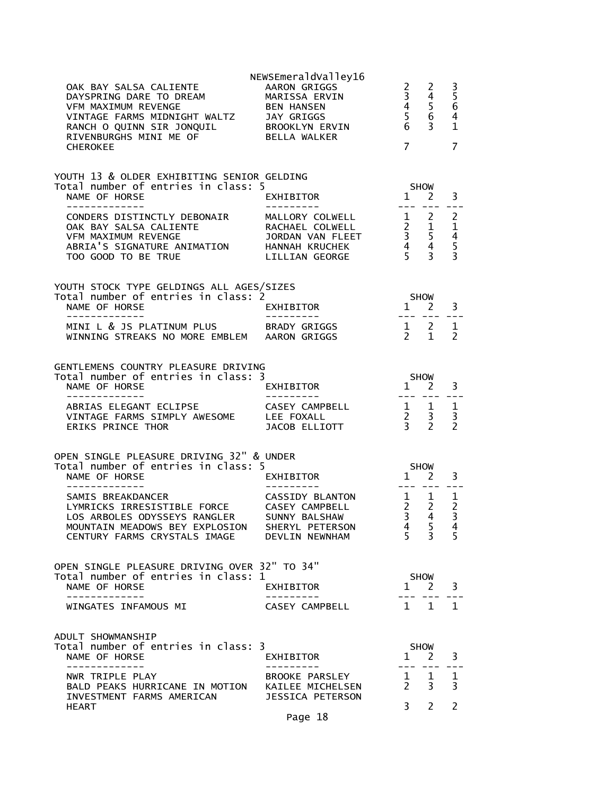| OAK BAY SALSA CALIENTE<br>DAYSPRING DARE TO DREAM<br>VFM MAXIMUM REVENGE<br>VINTAGE FARMS MIDNIGHT WALTZ JAY GRIGGS<br>RANCH O QUINN SIR JONQUIL         BROOKLYN ERVIN<br>RIVENBURGHS MINI ME OF             BELLA WALKER | NEWSEmeraldValley16<br><b>AARON GRIGGS</b><br>MARISSA ERVIN<br>BEN HANSEN                                                                                               | $\frac{2}{3}$<br>6                                                                         | 2<br>$\overline{4}$<br>$\begin{array}{ccc}\n3 & 4 \\ 4 & 5 \\ 5 & 6\n\end{array}$<br>3 <sup>7</sup>                                                                                                                                                                                                                                                                                                                                                               | $\frac{3}{5}$<br>4<br>$\mathbf{1}$                                     |
|----------------------------------------------------------------------------------------------------------------------------------------------------------------------------------------------------------------------------|-------------------------------------------------------------------------------------------------------------------------------------------------------------------------|--------------------------------------------------------------------------------------------|-------------------------------------------------------------------------------------------------------------------------------------------------------------------------------------------------------------------------------------------------------------------------------------------------------------------------------------------------------------------------------------------------------------------------------------------------------------------|------------------------------------------------------------------------|
| <b>CHEROKEE</b>                                                                                                                                                                                                            |                                                                                                                                                                         | $\overline{7}$                                                                             |                                                                                                                                                                                                                                                                                                                                                                                                                                                                   | 7                                                                      |
| YOUTH 13 & OLDER EXHIBITING SENIOR GELDING<br>Total number of entries in class: 5                                                                                                                                          |                                                                                                                                                                         |                                                                                            | <b>SHOW</b>                                                                                                                                                                                                                                                                                                                                                                                                                                                       |                                                                        |
| NAME OF HORSE<br>-------------                                                                                                                                                                                             | EXHIBITOR                                                                                                                                                               |                                                                                            | 1 2<br>--- ---                                                                                                                                                                                                                                                                                                                                                                                                                                                    | 3<br>$- -$                                                             |
| CONDERS DISTINCTLY DEBONAIR<br>OAK BAY SALSA CALIENTE<br><b>VFM MAXIMUM REVENGE</b><br>ABRIA'S SIGNATURE ANIMATION HANNAH KRUCHEK<br>TOO GOOD TO BE TRUE                                                                   | MALLORY COLWELL 1 2<br>RACHAEL COLWELL 2 1<br>JORDAN VAN FLEET 3 5<br>HANNAH KRUCHEK 4 4<br>LILLIAN GEORGE 5 3<br>RACHAEL COLWELL<br>JORDAN VAN FLEET<br>LILLIAN GEORGE |                                                                                            |                                                                                                                                                                                                                                                                                                                                                                                                                                                                   | $\overline{2}$<br>$\mathbf 1$<br>$\overline{4}$<br>5<br>$\overline{3}$ |
| YOUTH STOCK TYPE GELDINGS ALL AGES/SIZES                                                                                                                                                                                   |                                                                                                                                                                         |                                                                                            |                                                                                                                                                                                                                                                                                                                                                                                                                                                                   |                                                                        |
| Total number of entries in class: 2<br>NAME OF HORSE                                                                                                                                                                       | EXHIBITOR                                                                                                                                                               | <b>SHOW</b><br>$1 \quad 2$                                                                 |                                                                                                                                                                                                                                                                                                                                                                                                                                                                   | 3                                                                      |
| --------------<br>MINI L & JS PLATINUM PLUS BRADY GRIGGS<br>WINNING STREAKS NO MORE EMBLEM AARON GRIGGS                                                                                                                    | - - - - - - - - - <sup>-</sup> -                                                                                                                                        | $\begin{array}{cc} 1 & 2 \\ 2 & 1 \end{array}$                                             | $\begin{tabular}{lllllllll} \toprule & $\mathbb{R}\times\mathbb{R}^3$ & $\mathbb{R}\times\mathbb{R}^3$ & $\mathbb{R}\times\mathbb{R}^3$ \\ \toprule & $\mathbb{R}\times\mathbb{R}^3$ & $\mathbb{R}\times\mathbb{R}^3$ & $\mathbb{R}\times\mathbb{R}^3$ & $\mathbb{R}\times\mathbb{R}^3$ \\ \toprule & $\mathbb{R}\times\mathbb{R}\times\mathbb{R}^3$ & $\mathbb{R}\times\mathbb{R}^3$ & $\mathbb{R}\times\mathbb{R}^3$ & $\mathbb{R}\times\mathbb{R}^3$ & $\math$ | 1<br>$\overline{2}$                                                    |
| GENTLEMENS COUNTRY PLEASURE DRIVING                                                                                                                                                                                        |                                                                                                                                                                         |                                                                                            |                                                                                                                                                                                                                                                                                                                                                                                                                                                                   |                                                                        |
| Total number of entries in class: 3<br>NAME OF HORSE                                                                                                                                                                       | EXHIBITOR                                                                                                                                                               | $1 \nightharpoonup 2$                                                                      | <b>SHOW</b>                                                                                                                                                                                                                                                                                                                                                                                                                                                       | 3                                                                      |
| --------------<br>ABRIAS ELEGANT ECLIPSE<br>VINTAGE FARMS SIMPLY AWESOME LEE FOXALL<br><b>ERIKS PRINCE THOR</b>                                                                                                            | ----------<br>CASEY CAMPBELL<br>JACOB ELLIOTT                                                                                                                           | --- --- ---<br>$\begin{array}{cc} 1 & 1 \\ 2 & 3 \\ 3 & 2 \end{array}$                     |                                                                                                                                                                                                                                                                                                                                                                                                                                                                   | $\mathbf{1}$<br>3<br>$\mathcal{P}$                                     |
| OPEN SINGLE PLEASURE DRIVING 32" & UNDER<br>Total number of entries in class: 5                                                                                                                                            |                                                                                                                                                                         |                                                                                            | <b>SHOW</b>                                                                                                                                                                                                                                                                                                                                                                                                                                                       |                                                                        |
| NAME OF HORSE                                                                                                                                                                                                              | EXHIBITOR                                                                                                                                                               | $1 \quad 2$                                                                                |                                                                                                                                                                                                                                                                                                                                                                                                                                                                   | 3                                                                      |
| SAMIS BREAKDANCER<br>LYMRICKS IRRESISTIBLE FORCE CASEY CAMPBELL<br>LOS ARBOLES ODYSSEYS RANGLER<br>MOUNTAIN MEADOWS BEY EXPLOSION SHERYL PETERSON<br>CENTURY FARMS CRYSTALS IMAGE                                          | CASSIDY BLANTON<br>SUNNY BALSHAW<br>DEVLIN NEWNHAM                                                                                                                      | $1 \quad 1$<br>$\begin{array}{ccc} 2 & 2 \\ 3 & 4 \end{array}$<br>$4 \quad$<br>$5^{\circ}$ | 5<br>$\overline{3}$                                                                                                                                                                                                                                                                                                                                                                                                                                               | 1<br>$\overline{2}$<br>$\overline{3}$<br>4<br>5                        |
| OPEN SINGLE PLEASURE DRIVING OVER 32" TO 34"<br>Total number of entries in class: 1                                                                                                                                        |                                                                                                                                                                         |                                                                                            | SHOW                                                                                                                                                                                                                                                                                                                                                                                                                                                              |                                                                        |
| NAME OF HORSE<br>-----------                                                                                                                                                                                               | EXHIBITOR<br>---------                                                                                                                                                  |                                                                                            | $1 \quad 2$                                                                                                                                                                                                                                                                                                                                                                                                                                                       | 3                                                                      |
| WINGATES INFAMOUS MI                                                                                                                                                                                                       | CASEY CAMPBELL                                                                                                                                                          |                                                                                            | $1 \quad 1 \quad 1$                                                                                                                                                                                                                                                                                                                                                                                                                                               |                                                                        |
| ADULT SHOWMANSHIP                                                                                                                                                                                                          |                                                                                                                                                                         |                                                                                            |                                                                                                                                                                                                                                                                                                                                                                                                                                                                   |                                                                        |
| Total number of entries in class: 3<br>NAME OF HORSE<br>-------------                                                                                                                                                      | EXHIBITOR                                                                                                                                                               | $\mathbf{1}$                                                                               | <b>SHOW</b><br><sup>2</sup>                                                                                                                                                                                                                                                                                                                                                                                                                                       | 3                                                                      |
| NWR TRIPLE PLAY<br>BALD PEAKS HURRICANE IN MOTION KAILEE MICHELSEN<br>INVESTMENT FARMS AMERICAN                                                                                                                            | ---------<br>BROOKE PARSLEY<br>JESSICA PETERSON                                                                                                                         | $2 \overline{3}$                                                                           | $1 \quad 1$                                                                                                                                                                                                                                                                                                                                                                                                                                                       | 1<br>3                                                                 |
| <b>HEART</b>                                                                                                                                                                                                               | Page 18                                                                                                                                                                 | $3^{\circ}$                                                                                | $\mathbf{2}^{\prime}$                                                                                                                                                                                                                                                                                                                                                                                                                                             | 2                                                                      |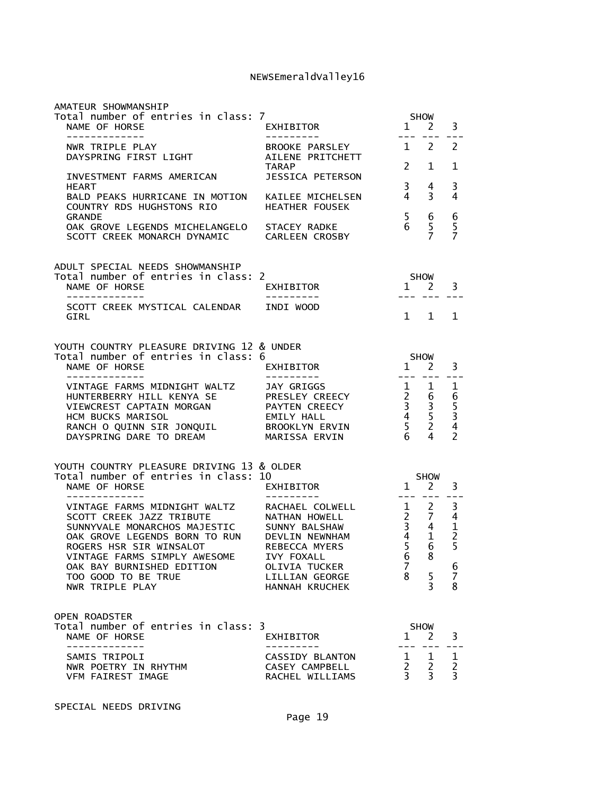| AMATEUR SHOWMANSHIP                                                                                                                                                                                                                                                        |                                                                                                                                              |                                           |                                                                                                    |                                                                       |
|----------------------------------------------------------------------------------------------------------------------------------------------------------------------------------------------------------------------------------------------------------------------------|----------------------------------------------------------------------------------------------------------------------------------------------|-------------------------------------------|----------------------------------------------------------------------------------------------------|-----------------------------------------------------------------------|
| Total number of entries in class: 7<br>NAME OF HORSE<br>-------------                                                                                                                                                                                                      | EXHIBITOR<br>----------                                                                                                                      | SHOW<br>1<br>$- - -$                      | <sup>2</sup>                                                                                       | 3                                                                     |
| NWR TRIPLE PLAY<br>DAYSPRING FIRST LIGHT                                                                                                                                                                                                                                   | BROOKE PARSLEY<br>AILENE PRITCHETT                                                                                                           |                                           | $1\quad 2$                                                                                         | 2                                                                     |
| INVESTMENT FARMS AMERICAN                                                                                                                                                                                                                                                  | <b>TARAP</b><br><b>JESSICA PETERSON</b>                                                                                                      | $\mathbf{2}$                              | 1                                                                                                  | 1                                                                     |
| <b>HEART</b><br>BALD PEAKS HURRICANE IN MOTION KAILEE MICHELSEN<br>COUNTRY RDS HUGHSTONS RIO                                                                                                                                                                               | <b>HEATHER FOUSEK</b>                                                                                                                        | $\overline{\mathbf{3}}$<br>$\overline{4}$ | 4<br>3                                                                                             | 3<br>4                                                                |
| <b>GRANDE</b><br>OAK GROVE LEGENDS MICHELANGELO STACEY RADKE<br>SCOTT CREEK MONARCH DYNAMIC CARLEEN CROSBY                                                                                                                                                                 |                                                                                                                                              | 5 <sub>1</sub><br>6                       | 6<br>5<br>$\overline{7}$                                                                           | $\begin{array}{c} 6 \\ 5 \end{array}$<br>$\overline{7}$               |
| ADULT SPECIAL NEEDS SHOWMANSHIP                                                                                                                                                                                                                                            |                                                                                                                                              |                                           |                                                                                                    |                                                                       |
| Total number of entries in class: 2<br>NAME OF HORSE<br>-------------                                                                                                                                                                                                      | EXHIBITOR<br>--------                                                                                                                        | <b>SHOW</b>                               | 1 2<br>--- ---                                                                                     | 3                                                                     |
| SCOTT CREEK MYSTICAL CALENDAR INDI WOOD<br>GIRL                                                                                                                                                                                                                            |                                                                                                                                              |                                           | $1 \quad 1$                                                                                        | $\mathbf{1}$                                                          |
| YOUTH COUNTRY PLEASURE DRIVING 12 & UNDER<br>Total number of entries in class: 6                                                                                                                                                                                           |                                                                                                                                              |                                           | SHOW                                                                                               |                                                                       |
| NAME OF HORSE<br>--------------                                                                                                                                                                                                                                            | EXHIBITOR<br>----------                                                                                                                      | $1 \quad 2$                               | . <i>.</i>                                                                                         | 3<br>$- -$                                                            |
| VINTAGE FARMS MIDNIGHT WALTZ<br>HUNTERBERRY HILL KENYA SE PRESLEY CREECY<br>VIEWCREST CAPTAIN MORGAN<br>HCM BUCKS MARISOL<br>RANCH O QUINN SIR JONQUIL BROOKLYN ERVIN<br>DAYSPRING DARE TO DREAM                                                                           | JAY GRIGGS<br>PAYTEN CREECY<br>EMILY HALL<br>MARISSA ERVIN                                                                                   | $1\quad 1$<br>$\frac{5}{6}$               | $\begin{array}{ccc} 2 & 6 \\ 3 & 3 \\ 4 & 5 \\ 5 & 2 \\ 6 & 3 \end{array}$<br>$6\overline{6}$<br>4 | 1<br>6534<br>2                                                        |
| YOUTH COUNTRY PLEASURE DRIVING 13 & OLDER                                                                                                                                                                                                                                  |                                                                                                                                              |                                           |                                                                                                    |                                                                       |
| Total number of entries in class: 10<br>NAME OF HORSE<br>--------------                                                                                                                                                                                                    | EXHIBITOR                                                                                                                                    | $\mathbf{1}$                              | <b>SHOW</b><br>$\overline{2}$                                                                      | 3                                                                     |
| VINTAGE FARMS MIDNIGHT WALTZ<br>SCOTT CREEK JAZZ TRIBUTE<br>SUNNYVALE MONARCHOS MAJESTIC<br>OAK GROVE LEGENDS BORN TO RUN DEVLIN NEWNHAM<br>ROGERS HSR SIR WINSALOT<br>VINTAGE FARMS SIMPLY AWESOME<br>OAK BAY BURNISHED EDITION<br>TOO GOOD TO BE TRUE<br>NWR TRIPLE PLAY | RACHAEL COLWELL<br>NATHAN HOWELL<br>SUNNY BALSHAW<br>REBECCA MYERS<br><b>IVY FOXALL</b><br>OLIVIA TUCKER<br>LILLIAN GEORGE<br>HANNAH KRUCHEK | 6<br>$\overline{7}$<br>8                  | $1 \quad 2$<br>$\begin{array}{ccc} 2 & 7 \\ 3 & 4 \\ 4 & 1 \\ 5 & 6 \end{array}$<br>8<br>5<br>3    | 3<br>$\overline{4}$<br>$\frac{1}{2}$<br>5<br>6<br>$\overline{7}$<br>8 |
| OPEN ROADSTER<br>Total number of entries in class: 3<br>NAME OF HORSE                                                                                                                                                                                                      | EXHIBITOR                                                                                                                                    | 1                                         | <b>SHOW</b><br><sup>2</sup>                                                                        | 3                                                                     |
| -----------<br>SAMIS TRIPOLI<br>NWR POETRY IN RHYTHM<br>VFM FAIREST IMAGE                                                                                                                                                                                                  | <b>CASSIDY BLANTON</b><br>CASEY CAMPBELL<br>RACHEL WILLIAMS                                                                                  | 1<br>$\overline{2}$<br>$\overline{3}$     | 1<br>2<br>$\overline{3}$                                                                           | 1<br>$\frac{2}{3}$                                                    |

SPECIAL NEEDS DRIVING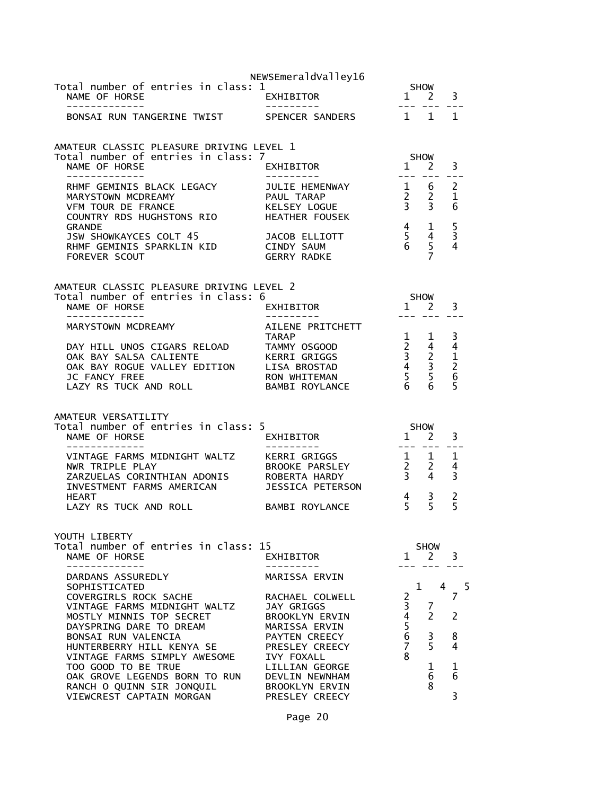| NEWSEmeraldValley16                                                                                                                                                                                                      |                                                                                                                                               |                                             |                                                                                              |                                                                                                                                                                                                                                                                                                                                                                                                                                                                                                                                    |
|--------------------------------------------------------------------------------------------------------------------------------------------------------------------------------------------------------------------------|-----------------------------------------------------------------------------------------------------------------------------------------------|---------------------------------------------|----------------------------------------------------------------------------------------------|------------------------------------------------------------------------------------------------------------------------------------------------------------------------------------------------------------------------------------------------------------------------------------------------------------------------------------------------------------------------------------------------------------------------------------------------------------------------------------------------------------------------------------|
| EXHIBITOR                                                                                                                                                                                                                |                                                                                                                                               |                                             |                                                                                              |                                                                                                                                                                                                                                                                                                                                                                                                                                                                                                                                    |
| BONSAI RUN TANGERINE TWIST                                                                                                                                                                                               |                                                                                                                                               |                                             |                                                                                              |                                                                                                                                                                                                                                                                                                                                                                                                                                                                                                                                    |
| AMATEUR CLASSIC PLEASURE DRIVING LEVEL 1                                                                                                                                                                                 |                                                                                                                                               |                                             |                                                                                              |                                                                                                                                                                                                                                                                                                                                                                                                                                                                                                                                    |
| EXHIBITOR                                                                                                                                                                                                                |                                                                                                                                               |                                             | 3                                                                                            |                                                                                                                                                                                                                                                                                                                                                                                                                                                                                                                                    |
| JULIE HEMENWAY<br>HEMEL ---<br>PAUL TARAP<br>KELSEY<br>KELSEY LOGUE<br>COUNTRY RDS HUGHSTONS RIO<br>HEATHER FOUSEK                                                                                                       |                                                                                                                                               |                                             | $\overline{c}$<br>$\mathbf{1}$<br>6                                                          |                                                                                                                                                                                                                                                                                                                                                                                                                                                                                                                                    |
| JACOB ELLIOTT<br>RHMF GEMINIS SPARKLIN KID CINDY SAUM<br>GERRY RADKE                                                                                                                                                     |                                                                                                                                               | $\overline{7}$                              | $\overline{\mathbf{3}}$<br>$\overline{4}$                                                    |                                                                                                                                                                                                                                                                                                                                                                                                                                                                                                                                    |
| AMATEUR CLASSIC PLEASURE DRIVING LEVEL 2<br>Total number of entries in class: 6<br>.<br>EXHIBITOR                                                                                                                        |                                                                                                                                               |                                             | 3                                                                                            |                                                                                                                                                                                                                                                                                                                                                                                                                                                                                                                                    |
| AILENE PRITCHETT<br><b>TARAP</b><br>DAY HILL UNOS CIGARS RELOAD TAMMY OSGOOD<br>OAK BAY SALSA CALIENTE KERRI GRIGGS<br>OAK BAY ROGUE VALLEY EDITION LISA BROSTAD<br>RON WHITEMAN<br>BAMBI ROYLANCE                       |                                                                                                                                               |                                             | 3                                                                                            |                                                                                                                                                                                                                                                                                                                                                                                                                                                                                                                                    |
| Total number of entries in class: 5                                                                                                                                                                                      |                                                                                                                                               |                                             | 3                                                                                            |                                                                                                                                                                                                                                                                                                                                                                                                                                                                                                                                    |
| VINTAGE FARMS MIDNIGHT WALTZ KERRI GRIGGS<br>BROOKE PARSLEY<br>ZARZUELAS CORINTHIAN ADONIS ROBERTA HARDY                                                                                                                 |                                                                                                                                               |                                             |                                                                                              |                                                                                                                                                                                                                                                                                                                                                                                                                                                                                                                                    |
| BAMBI ROYLANCE                                                                                                                                                                                                           |                                                                                                                                               | $\frac{3}{5}$                               | 2<br>5                                                                                       |                                                                                                                                                                                                                                                                                                                                                                                                                                                                                                                                    |
| Total number of entries in class: 15<br>EXHIBITOR                                                                                                                                                                        |                                                                                                                                               | <b>SHOW</b>                                 | 3                                                                                            |                                                                                                                                                                                                                                                                                                                                                                                                                                                                                                                                    |
| MARISSA ERVIN<br>RACHAEL COLWELL<br>JAY GRIGGS<br><b>BROOKLYN ERVIN</b><br>MARISSA ERVIN<br>PAYTEN CREECY<br>PRESLEY CREECY<br>IVY FOXALL<br>LILLIAN GEORGE<br>DEVLIN NEWNHAM<br><b>BROOKLYN ERVIN</b><br>PRESLEY CREECY | $\overline{c}$<br>$\overline{\mathbf{3}}$<br>4<br>5<br>6<br>$\overline{7}$<br>8                                                               | 7<br>$\mathcal{P}$<br>3<br>5<br>1<br>6<br>8 | 7<br>2<br>8<br>4<br>1<br>6<br>3                                                              | 5                                                                                                                                                                                                                                                                                                                                                                                                                                                                                                                                  |
|                                                                                                                                                                                                                          | Total number of entries in class: 1<br>Total number of entries in class: 7<br>EXHIBITOR<br>INVESTMENT FARMS AMERICAN<br>JESSICA PETERSON<br>. |                                             | <b>SHOW</b><br>$- - - -$<br><b>SHOW</b><br>$4\overline{ }$<br>5 <sup>7</sup><br>$\mathbf{1}$ | SHOW<br>$1 \quad 2 \quad 3$<br>$------$<br>SPENCER SANDERS 1 1 1<br>$1 \quad 2$<br>$\begin{array}{cc} 1 & 6 \\ 2 & 2 \\ 3 & 3 \end{array}$<br>6<br>$\begin{array}{cc} 4 & 1 \\ 5 & 4 \\ 6 & 5 \end{array}$<br>5<br>$\begin{array}{c} 4 \\ 5 \end{array}$<br>$1 \quad 2$<br>$1 \quad 1$<br>$\begin{array}{ccccccc}\n 1 & 1 & 3 \\  2 & 4 & 4 \\  3 & 2 & 1 \\  4 & 3 & 2 \\  5 & 5 & 6 \\  6 & 6 & 5\n \end{array}$<br>SHOW<br>1<br>2<br>$\begin{array}{ccccc} 1 & 1 & 1 \\ 2 & 2 & 4 \\ 3 & 4 & 3 \end{array}$<br>$1 \quad 2$<br>4 |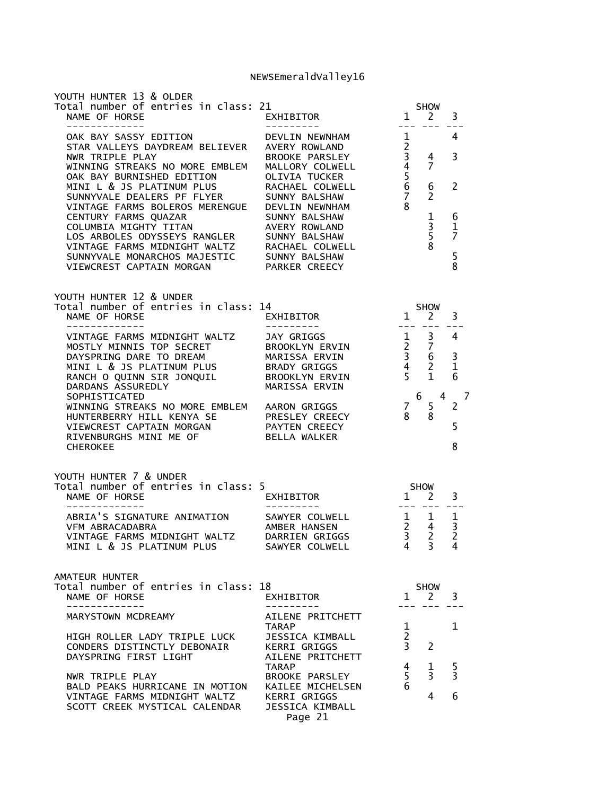| YOUTH HUNTER 13 & OLDER<br>Total number of entries in class: 21<br>NAME OF HORSE<br>-------------                                                                                                                                                                                                                                                                              | '1<br>EXHIBITOR<br>-----------                                                   | 100 H H H H                                                  | SHOW<br>1 2                                                                     | 3                                                 |
|--------------------------------------------------------------------------------------------------------------------------------------------------------------------------------------------------------------------------------------------------------------------------------------------------------------------------------------------------------------------------------|----------------------------------------------------------------------------------|--------------------------------------------------------------|---------------------------------------------------------------------------------|---------------------------------------------------|
| WINNING STREAKS NO MORE EMBLEM<br>OAK BAY BURNISHED EDITION<br>MALLORY COLWELL<br>MINI L & JS PLATINUM PLUS<br>RACHAEL COLWELL<br>MINT L & JS PLATINOM PLOS<br>SUNNYVALE DEALERS PF FLYER<br>VINTAGE FARMS BOLEROS MERENGUE DEVLIN NEWNHAM<br>CENTURY FARMS QUAZAR<br>COLUMBIA MIGHTY TITAN AVERY ROWLAND<br>LOS ARBOLES ODYSSEYS RANGLER<br>SUNNY BALSHAW<br>VINTAGE FARMS MI |                                                                                  | $\overline{1}$<br>$\frac{4}{5}$<br>6<br>$7\overline{ }$<br>8 | $\frac{2}{3}$ 4<br>$\overline{7}$<br>6<br>$\mathcal{P}$<br>$\frac{1}{3}$<br>8   | 4<br>3<br>2<br>6<br>1<br>$\overline{7}$<br>5<br>8 |
| YOUTH HUNTER 12 & UNDER<br>Total number of entries in class: 14<br>NAME OF HORSE<br>--------------                                                                                                                                                                                                                                                                             | .4<br>EXHIBITOR<br>----------                                                    |                                                              | $5HOW$<br>$1 \t2 \t3$                                                           |                                                   |
| VINTAGE FARMS MIDNIGHT WALTZ JAY GRIGGS<br>MOSTLY MINITS TOP SECRET BROOKLYN ERVIN<br>MOSTLY MINITS TOP SECRET BROOKLYN ERVIN<br>MINI L & JS PLATINUM PLUS<br>RANCH O QUINN SIR JONQUIL BRADY GRIGGS<br>RANCH O QUINN SIR JONQUIL BROOKLYN ERVIN<br>DARDANS ASSUREDLY MARISSA ERVIN<br>SOPHISTICATED                                                                           |                                                                                  | 5 <sub>5</sub>                                               | 1<br>6 4                                                                        | 6<br>-7                                           |
| WINNING STREAKS NO MORE EMBLEM AARON GRIGGS<br>HUNTERBERRY HILL KENYA SE PRESLEY CREECY<br>VIEWCREST CAPTAIN MORGAN PAYTEN CREECY<br>RIVENBURGHS MINI ME OF<br><b>CHEROKEE</b>                                                                                                                                                                                                 | <b>BELLA WALKER</b>                                                              | $\begin{array}{c} 7 \\ 8 \end{array}$                        | $5\overline{)}$<br>8                                                            | $\overline{2}$<br>5<br>8                          |
| YOUTH HUNTER 7 & UNDER<br>Total number of entries in class: 5<br>NAME OF HORSE<br>-------------                                                                                                                                                                                                                                                                                | ;<br>EXHIBITOR<br>---------                                                      |                                                              | $5HOW$<br>1 2 3<br>--- --- ---                                                  |                                                   |
| ABRIA'S SIGNATURE ANIMATION SAWYER COLWELL<br>VFM ABRACADABRA<br>VINTAGE FARMS MIDNIGHT WALTZ       DARRIEN GRIGGS<br>MINI L & JS PLATINUM PLUS                                                                                                                                                                                                                                | DARRIEN GRIGGS<br>SAWYER COLWELL                                                 |                                                              | $\begin{array}{ccccc}\n1 & 1 & 1 \\ 2 & 4 & 3 \\ 3 & 2 & 2\n\end{array}$<br>4 3 | 4                                                 |
| AMATEUR HUNTER<br>Total number of entries in class: 18<br>NAME OF HORSE<br>. _ _ _ _ _ _ _ _ _ _ _                                                                                                                                                                                                                                                                             | EXHIBITOR<br>------                                                              |                                                              | SHOW<br>$1 \quad 2$                                                             | 3                                                 |
| MARYSTOWN MCDREAMY<br>HIGH ROLLER LADY TRIPLE LUCK<br>CONDERS DISTINCTLY DEBONAIR<br>DAYSPRING FIRST LIGHT                                                                                                                                                                                                                                                                     | AILENE PRITCHETT<br>TARAP<br>JESSICA KIMBALL<br>KERRI GRIGGS<br>AILENE PRITCHETT | $\mathbf{1}$<br>$\overline{2}$<br>3 <sup>7</sup>             | $\overline{2}$                                                                  | 1                                                 |
| NWR TRIPLE PLAY<br>BALD PEAKS HURRICANE IN MOTION KAILEE MICHELSEN<br>VINTAGE FARMS MIDNIGHT WALTZ<br>SCOTT CREEK MYSTICAL CALENDAR                                                                                                                                                                                                                                            | TARAP<br>BROOKE PARSLEY<br><b>KERRI GRIGGS</b><br>JESSICA KIMBALL<br>Page 21     | $4 \quad$<br>5 <sup>1</sup><br>6                             | $\mathbf{1}$<br>3 <sup>7</sup><br>4                                             | $\frac{5}{3}$<br>6                                |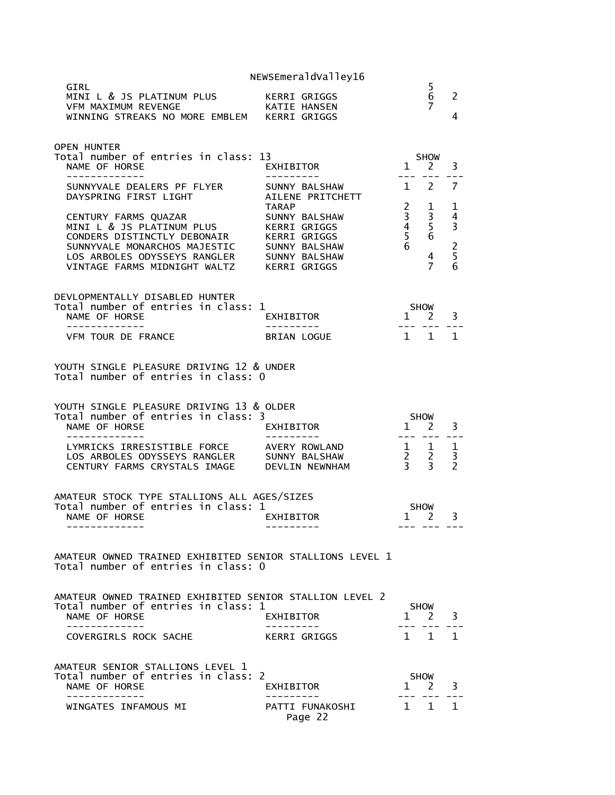|                                                                                                                                                                                                                                                                                                                             | NEWSEmeraldValley16                                                                                                                                                                                                                                                                                                                                                                                                                                                                |                                                                                                                                  |                                                                                |                                                                           |
|-----------------------------------------------------------------------------------------------------------------------------------------------------------------------------------------------------------------------------------------------------------------------------------------------------------------------------|------------------------------------------------------------------------------------------------------------------------------------------------------------------------------------------------------------------------------------------------------------------------------------------------------------------------------------------------------------------------------------------------------------------------------------------------------------------------------------|----------------------------------------------------------------------------------------------------------------------------------|--------------------------------------------------------------------------------|---------------------------------------------------------------------------|
| GIRL<br>MINI L & JS PLATINUM PLUS<br>VFM MAXIMUM REVENGE KATIE HANSEN<br>WINNING STREAKS NO MORE EMBLEM KERRI GRIGGS                                                                                                                                                                                                        | KERRI GRIGGS                                                                                                                                                                                                                                                                                                                                                                                                                                                                       |                                                                                                                                  | 5<br>6<br>7                                                                    | 2<br>4                                                                    |
| <b>OPEN HUNTER</b><br>Total number of entries in class: 13<br>NAME OF HORSE                                                                                                                                                                                                                                                 | EXHIBITOR                                                                                                                                                                                                                                                                                                                                                                                                                                                                          | $\overline{1}$                                                                                                                   | SHOW<br>$2^{\circ}$                                                            | 3                                                                         |
| -------------<br>SUNNYVALE DEALERS PF FLYER<br>DAYSPRING FIRST LIGHT<br>CENTURY FARMS QUAZAR<br>MINI L & JS PLATINUM PLUS KERRI GRIGGS<br>CONDERS DISTINCTLY DEBONAIR KERRI GRIGGS<br>SUNNYVALE MONARCHOS MAJESTIC SUNNY BALSHAW<br>LOS ARBOLES ODYSSEYS RANGLER SUNNY BALSHAW<br>VINTAGE FARMS MIDNIGHT WALTZ KERRI GRIGGS | ----------<br>SUNNY BALSHAW<br>AILENE PRITCHETT<br><b>TARAP</b><br>SUNNY BALSHAW                                                                                                                                                                                                                                                                                                                                                                                                   | $\begin{array}{cccccc} - & - & - & - & - \\ & - & - & - & - \end{array}$<br>$\begin{array}{c} 2 \\ 3 \\ 4 \\ 5 \\ 6 \end{array}$ | $1 \quad 2$<br>$\mathbf{1}$<br>3<br>$\overline{5}$<br>6<br>4<br>$\overline{7}$ | $\overline{7}$<br>1<br>4<br>$\overline{\mathbf{3}}$<br>$\frac{2}{5}$<br>6 |
| DEVLOPMENTALLY DISABLED HUNTER<br>Total number of entries in class: 1<br>NAME OF HORSE                                                                                                                                                                                                                                      | $1$ $\overline{\phantom{1}}$ $\overline{\phantom{1}}$ $\overline{\phantom{1}}$ $\overline{\phantom{1}}$ $\overline{\phantom{1}}$ $\overline{\phantom{1}}$ $\overline{\phantom{1}}$ $\overline{\phantom{1}}$ $\overline{\phantom{1}}$ $\overline{\phantom{1}}$ $\overline{\phantom{1}}$ $\overline{\phantom{1}}$ $\overline{\phantom{1}}$ $\overline{\phantom{1}}$ $\overline{\phantom{1}}$ $\overline{\phantom{1}}$ $\overline{\phantom{1}}$ $\overline{\phantom{1}}$<br>EXHIBITOR |                                                                                                                                  |                                                                                | 3                                                                         |
| VFM TOUR DE FRANCE                                                                                                                                                                                                                                                                                                          | BRIAN LOGUE                                                                                                                                                                                                                                                                                                                                                                                                                                                                        |                                                                                                                                  | $1\quad1$                                                                      | 1                                                                         |
| YOUTH SINGLE PLEASURE DRIVING 12 & UNDER<br>Total number of entries in class: 0                                                                                                                                                                                                                                             |                                                                                                                                                                                                                                                                                                                                                                                                                                                                                    |                                                                                                                                  |                                                                                |                                                                           |
|                                                                                                                                                                                                                                                                                                                             |                                                                                                                                                                                                                                                                                                                                                                                                                                                                                    |                                                                                                                                  |                                                                                |                                                                           |
| YOUTH SINGLE PLEASURE DRIVING 13 & OLDER<br>Total number of entries in class: 3<br>NAME OF HORSE                                                                                                                                                                                                                            | EXHIBITOR                                                                                                                                                                                                                                                                                                                                                                                                                                                                          | $1 \quad 2$                                                                                                                      | SHOW                                                                           | 3                                                                         |
| LYMRICKS IRRESISTIBLE FORCE AVERY ROWLAND<br>LOS ARBOLES ODYSSEYS RANGLER SUNNY BALSHAW<br>CENTURY FARMS CRYSTALS IMAGE                                                                                                                                                                                                     | DEVLIN NEWNHAM                                                                                                                                                                                                                                                                                                                                                                                                                                                                     | $- - - -$                                                                                                                        | $\begin{array}{ccc} 1 & 1 \\ 2 & 2 \\ 3 & 3 \end{array}$                       | $\mathbf{1}$<br>3<br>$\overline{\phantom{0}}$                             |
| AMATEUR STOCK TYPE STALLIONS ALL AGES/SIZES<br>Total number of entries in class: 1<br>NAME OF HORSE NAME OF STRAINING STRAINING<br>. _ _ _ _ _ _ _ _ _ _ _ _                                                                                                                                                                | <b>EXHIBITOR</b>                                                                                                                                                                                                                                                                                                                                                                                                                                                                   |                                                                                                                                  | <b>SHOW</b><br>1 2                                                             | 3                                                                         |
| AMATEUR OWNED TRAINED EXHIBITED SENIOR STALLIONS LEVEL 1<br>Total number of entries in class: 0                                                                                                                                                                                                                             |                                                                                                                                                                                                                                                                                                                                                                                                                                                                                    |                                                                                                                                  |                                                                                |                                                                           |
| AMATEUR OWNED TRAINED EXHIBITED SENIOR STALLION LEVEL 2<br>Total number of entries in class: 1<br>NAME OF HORSE<br>-------------<br>COVERGIRLS ROCK SACHE                                                                                                                                                                   | EXHIBITOR<br>----------<br>KERRI GRIGGS                                                                                                                                                                                                                                                                                                                                                                                                                                            | $\mathbf{1}$                                                                                                                     | <b>SHOW</b><br><sup>2</sup><br>--- ---<br>$1 \quad 1 \quad 1$                  | 3                                                                         |
| AMATEUR SENIOR STALLIONS LEVEL 1<br>Total number of entries in class: 2<br>NAME OF HORSE<br>----------                                                                                                                                                                                                                      | EXHIBITOR<br>. <u>.</u> .                                                                                                                                                                                                                                                                                                                                                                                                                                                          |                                                                                                                                  | <b>SHOW</b><br>1 2                                                             | 3                                                                         |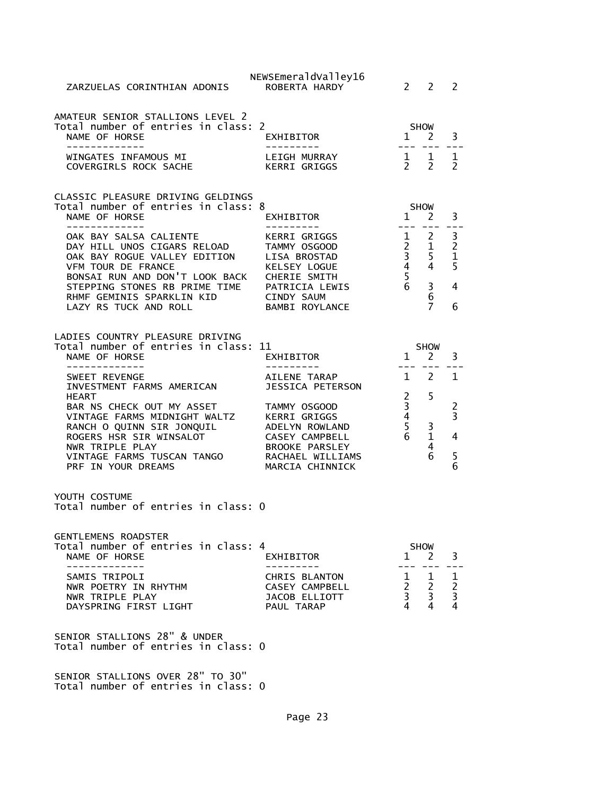| ZARZUELAS CORINTHIAN ADONIS                                                                                                                                                                                                                            | NEWSEmeraldValley16<br>ROBERTA HARDY                                                                                                                                 | $\mathcal{P}$                                                                        | $\mathcal{L}$                                                            | 2                                              |
|--------------------------------------------------------------------------------------------------------------------------------------------------------------------------------------------------------------------------------------------------------|----------------------------------------------------------------------------------------------------------------------------------------------------------------------|--------------------------------------------------------------------------------------|--------------------------------------------------------------------------|------------------------------------------------|
| AMATEUR SENIOR STALLIONS LEVEL 2<br>Total number of entries in class: 2<br>NAME OF HORSE<br>-------------                                                                                                                                              | EXHIBITOR<br>----------                                                                                                                                              |                                                                                      | <b>SHOW</b><br>$1 \quad 2$<br>--- ---                                    | 3                                              |
| WINGATES INFAMOUS MI<br>COVERGIRLS ROCK SACHE                                                                                                                                                                                                          | LEIGH MURRAY<br>KERRI GRIGGS                                                                                                                                         | $\begin{matrix} 1 & 1 \\ 2 & 2 \end{matrix}$                                         | $\overline{2}$                                                           | $\mathbf 1$<br>$\overline{2}$                  |
| CLASSIC PLEASURE DRIVING GELDINGS<br>Total number of entries in class: 8<br>NAME OF HORSE                                                                                                                                                              | EXHIBITOR                                                                                                                                                            | $1 \quad$                                                                            | <b>SHOW</b><br>2                                                         | 3                                              |
| --------------<br>OAK BAY SALSA CALIENTE<br>DAY HILL UNOS CIGARS RELOAD<br>OAK BAY ROGUE VALLEY EDITION<br>VFM TOUR DE FRANCE<br>BONSAI RUN AND DON'T LOOK BACK<br>STEPPING STONES RB PRIME TIME<br>RHMF GEMINIS SPARKLIN KID<br>LAZY RS TUCK AND ROLL | --------<br>KERRI GRIGGS<br>TAMMY OSGOOD<br>LISA BROSTAD<br>KELSEY LOGUE<br>CHERIE SMITH<br>PATRICIA LEWIS<br>CINDY SAUM<br><b>BAMBI ROYLANCE</b>                    | $   \,$<br>$\mathbf{1}$<br>$2^{\circ}$<br>$\overline{3}$<br>4 <sup>1</sup><br>5<br>6 | $\frac{1}{2}$<br>2<br>$\mathbf{1}$<br>5<br>4<br>3<br>6<br>$\overline{7}$ | $\frac{3}{2}$<br>$\mathbf{1}$<br>5<br>4<br>6   |
| LADIES COUNTRY PLEASURE DRIVING<br>Total number of entries in class: 11<br>NAME OF HORSE<br>_____________                                                                                                                                              | EXHIBITOR                                                                                                                                                            | $\mathbf{1}$<br>$- - -$                                                              | <b>SHOW</b><br>2<br>$- - -$                                              | 3                                              |
| SWEET REVENGE<br>INVESTMENT FARMS AMERICAN<br><b>HEART</b><br>BAR NS CHECK OUT MY ASSET<br>VINTAGE FARMS MIDNIGHT WALTZ<br>RANCH O QUINN SIR JONQUIL<br>ROGERS HSR SIR WINSALOT<br>NWR TRIPLE PLAY<br>VINTAGE FARMS TUSCAN TANGO<br>PRF IN YOUR DREAMS | AILENE TARAP<br>JESSICA PETERSON<br>TAMMY OSGOOD<br>KERRI GRIGGS<br>ADELYN ROWLAND<br>CASEY CAMPBELL<br><b>BROOKE PARSLEY</b><br>RACHAEL WILLIAMS<br>MARCIA CHINNICK | $1 \quad$<br>$\overline{2}$<br>3<br>$\frac{4}{5}$<br>6                               | 2<br>5<br>3<br>$\mathbf{1}$<br>4<br>6                                    | 1<br>2<br>$\overline{3}$<br>4<br>$\frac{5}{6}$ |
| YOUTH COSTUME<br>Total number of entries in class: 0                                                                                                                                                                                                   |                                                                                                                                                                      |                                                                                      |                                                                          |                                                |
| <b>GENTLEMENS ROADSTER</b><br>Total number of entries in class: 4<br>NAME OF HORSE<br>SAMIS TRIPOLI<br>NWR POETRY IN RHYTHM<br>NWR TRIPLE PLAY<br>DAYSPRING FIRST LIGHT                                                                                | EXHIBITOR<br>CHRIS BLANTON<br>CASEY CAMPBELL<br>JACOB ELLIOTT<br>PAUL TARAP                                                                                          | $\mathbf{1}$<br>3 <sup>7</sup><br>$\overline{4}$                                     | <b>SHOW</b><br>2<br>$1 \quad 1$<br>$2 \quad 2$<br>$\overline{3}$<br>4    | 3<br>1<br>$\frac{2}{3}$<br>$\overline{4}$      |
| SENIOR STALLIONS 28" & UNDER<br>Total number of entries in class: 0                                                                                                                                                                                    |                                                                                                                                                                      |                                                                                      |                                                                          |                                                |
| SENIOR STALLIONS OVER 28" TO 30"<br>Total number of entries in class: 0                                                                                                                                                                                |                                                                                                                                                                      |                                                                                      |                                                                          |                                                |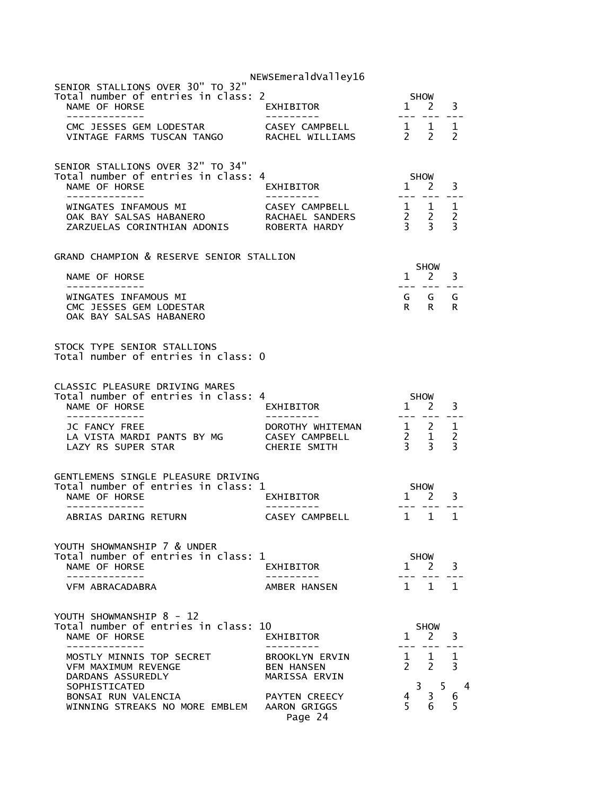|                                                                                                           | NEWSEmeraldValley16                                  |                                              |                                            |              |
|-----------------------------------------------------------------------------------------------------------|------------------------------------------------------|----------------------------------------------|--------------------------------------------|--------------|
| SENIOR STALLIONS OVER 30" TO 32"<br>Total number of entries in class: 2                                   |                                                      |                                              | <b>SHOW</b>                                |              |
|                                                                                                           |                                                      |                                              |                                            |              |
| SENIOR STALLIONS OVER 32" TO 34"<br>Total number of entries in class: 4<br>NAME OF HORSE<br>------------- | EXHIBITOR<br>----------                              |                                              | SHOW<br>SHOW<br>1 2 3<br>--- --- ---       |              |
|                                                                                                           |                                                      |                                              |                                            |              |
| GRAND CHAMPION & RESERVE SENIOR STALLION                                                                  |                                                      |                                              | <b>SHOW</b>                                |              |
| NAME OF HORSE<br>. <u>.</u>                                                                               |                                                      |                                              | $1 \quad 2 \quad 3$<br><u>--- --- ---</u>  |              |
| WINGATES INFAMOUS MI<br>CMC JESSES GEM LODESTAR<br>OAK BAY SALSAS HABANERO                                |                                                      |                                              | G G G<br>R R R                             |              |
| STOCK TYPE SENIOR STALLIONS<br>Total number of entries in class: 0                                        |                                                      |                                              |                                            |              |
| <b>CLASSIC PLEASURE DRIVING MARES</b><br>Total number of entries in class: 4<br>NAME OF HORSE             | EXHIBITOR<br>---------                               |                                              | $1$ SHOW<br>1 2 3                          |              |
|                                                                                                           |                                                      |                                              |                                            |              |
| GENTLEMENS SINGLE PLEASURE DRIVING<br>Total number of entries in class: 1<br>NAME OF HORSE                | _<br>EXHIBITOR<br>_____                              |                                              | $1$ SHOW                                   | 3            |
| -------------<br>ABRIAS DARING RETURN                                                                     | ----------<br>CASEY CAMPBELL 1 1 1                   |                                              | --- --- ---                                |              |
| YOUTH SHOWMANSHIP 7 & UNDER<br>Total number of entries in class: 1<br>NAME OF HORSE<br>-------------      | EXHIBITOR                                            |                                              | <b>SHOW</b><br>$1 \quad 2$                 | 3            |
| VFM ABRACADABRA                                                                                           | AMBER HANSEN                                         | $\mathbf{1}$                                 | $\mathbf{1}$                               | $\mathbf{1}$ |
| YOUTH SHOWMANSHIP 8 - 12<br>Total number of entries in class: 10<br>NAME OF HORSE                         | EXHIBITOR                                            | $\mathbf{1}$                                 | <b>SHOW</b><br>2                           | 3            |
| MOSTLY MINNIS TOP SECRET<br>VFM MAXIMUM REVENGE<br>DARDANS ASSUREDLY<br>SOPHISTICATED                     | BROOKLYN ERVIN<br><b>BEN HANSEN</b><br>MARISSA ERVIN | $1 \quad$<br>$\mathcal{P}$<br>$\overline{3}$ | $\mathbf{1}$<br>$2^{\circ}$<br>$5^{\circ}$ | 1<br>3<br>4  |
| BONSAI RUN VALENCIA<br>WINNING STREAKS NO MORE EMBLEM AARON GRIGGS                                        | PAYTEN CREECY<br>Page 24                             | 4<br>5                                       | 3<br>6                                     | 6<br>5       |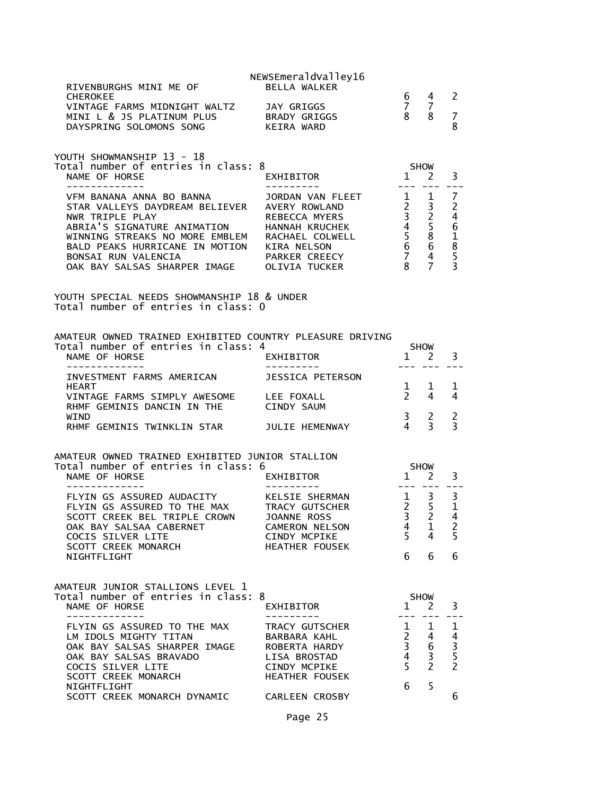| RIVENBURGHS MINI ME OF                                                                                                                                                                                                                                                                           | NEWSEmeraldValley16<br><b>BELLA WALKER</b>                                                                        |                                                                                                                             |                                                                             |                                      |
|--------------------------------------------------------------------------------------------------------------------------------------------------------------------------------------------------------------------------------------------------------------------------------------------------|-------------------------------------------------------------------------------------------------------------------|-----------------------------------------------------------------------------------------------------------------------------|-----------------------------------------------------------------------------|--------------------------------------|
| <b>CHEROKEE</b><br>VINTAGE FARMS MIDNIGHT WALTZ JAY GRIGGS<br>MINI L & JS PLATINUM PLUS BRADY GRIGGS<br>DAYSPRING SOLOMONS SONG                                                                                                                                                                  | KEIRA WARD                                                                                                        | 6<br>$7\overline{ }$<br>8 <sup>8</sup>                                                                                      | 4<br>$\overline{7}$<br>8                                                    | 2<br>$\overline{7}$<br>8             |
| YOUTH SHOWMANSHIP 13 - 18<br>Total number of entries in class: 8<br>NAME OF HORSE<br>--------------                                                                                                                                                                                              | EXHIBITOR                                                                                                         |                                                                                                                             | <b>SHOW</b><br>$1 \quad 2$                                                  | 3                                    |
| VFM BANANA ANNA BO BANNA<br>STAR VALLEYS DAYDREAM BELIEVER<br>NWR TRIPLE PLAY<br>ABRIA'S SIGNATURE ANIMATION HANNAH KRUCHEK<br>WINNING STREAKS NO MORE EMBLEM RACHAEL COLWELL<br>BALD PEAKS HURRICANE IN MOTION AIRA NELSON<br>BONSAI RUN VALENCIA PARKER CREECY<br>OAK BAY SALSAS SHARPER IMAGE | JORDAN VAN FLEET<br>AVERY ROWLAND<br>REBECCA MYERS<br>OLIVIA TUCKER                                               | $\mathbf{1}$<br>$\mathbf{2}$<br>$\overline{3}$<br>$\overline{4}$<br>5 <sub>1</sub><br>$\overline{6}$<br>$\overline{7}$<br>8 | 1<br>3<br>$\overline{c}$<br>5<br>8<br>6<br>$\overline{4}$<br>$\overline{7}$ | 7<br>$\overline{c}$<br>461853        |
| YOUTH SPECIAL NEEDS SHOWMANSHIP 18 & UNDER<br>Total number of entries in class: 0                                                                                                                                                                                                                |                                                                                                                   |                                                                                                                             |                                                                             |                                      |
| AMATEUR OWNED TRAINED EXHIBITED COUNTRY PLEASURE DRIVING<br>Total number of entries in class: 4<br>NAME OF HORSE                                                                                                                                                                                 | <b>EXHIBITOR</b>                                                                                                  | $\mathbf{1}$                                                                                                                | <b>SHOW</b><br>-2                                                           | 3                                    |
| INVESTMENT FARMS AMERICAN                                                                                                                                                                                                                                                                        | JESSICA PETERSON                                                                                                  |                                                                                                                             |                                                                             |                                      |
| <b>HEART</b><br>VINTAGE FARMS SIMPLY AWESOME<br>RHMF GEMINIS DANCIN IN THE                                                                                                                                                                                                                       | LEE FOXALL<br><b>CINDY SAUM</b>                                                                                   | $\mathbf{1}$<br>$2^{\circ}$                                                                                                 | 1<br>4                                                                      | 1<br>4                               |
| WIND<br>RHMF GEMINIS TWINKLIN STAR                                                                                                                                                                                                                                                               | JULIE HEMENWAY                                                                                                    | $\mathbf{3}$<br>$\overline{4}$                                                                                              | 2<br>$\overline{\mathbf{3}}$                                                | 2<br>$\overline{3}$                  |
| AMATEUR OWNED TRAINED EXHIBITED JUNIOR STALLION<br>Total number of entries in class: 6<br>NAME OF HORSE<br>EXHIBITOR                                                                                                                                                                             |                                                                                                                   | $\mathbf{1}$                                                                                                                | <b>SHOW</b><br>2                                                            | 3                                    |
| FLYIN GS ASSURED AUDACITY<br>FLYIN GS ASSURED AUDALL<br>FLYIN GS ASSURED TO THE MAX<br>THE THE THE TRING CROWN<br>SCOTT CREEK BEL TRIPLE CROWN<br>OAK BAY SALSAA CABERNET<br>COCIS SILVER LITE<br><b>SCOTT CREEK MONARCH</b>                                                                     | KELSIE SHERMAN<br>TRACY GUTSCHER<br><b>JOANNE ROSS</b><br>CAMERON NELSON<br>CINDY MCPIKE<br><b>HEATHER FOUSEK</b> | $\frac{2}{3}$<br>4<br>5<br>6                                                                                                | $1 \quad 3$<br>5<br>$\overline{2}$<br>1<br>4                                | 3<br>$\mathbf 1$<br>4<br>2<br>5<br>6 |
| NIGHTFLIGHT                                                                                                                                                                                                                                                                                      |                                                                                                                   |                                                                                                                             | 6                                                                           |                                      |
| AMATEUR JUNIOR STALLIONS LEVEL 1<br>Total number of entries in class: 8<br>NAME OF HORSE                                                                                                                                                                                                         | EXHIBITOR                                                                                                         | $\mathbf{1}$                                                                                                                | <b>SHOW</b><br>2                                                            | 3                                    |
| FLYIN GS ASSURED TO THE MAX<br>LM IDOLS MIGHTY TITAN<br>OAK BAY SALSAS SHARPER IMAGE<br>OAK BAY SALSAS BRAVADO<br>COCIS SILVER LITE<br>SCOTT CREEK MONARCH                                                                                                                                       | TRACY GUTSCHER<br>BARBARA KAHL<br>ROBERTA HARDY<br>LISA BROSTAD<br>CINDY MCPIKE<br><b>HEATHER FOUSEK</b>          | 1<br>$\overline{2}$<br>3<br>$\overline{4}$<br>5                                                                             | 1<br>4<br>6<br>3<br>$\overline{2}$                                          | 1<br>$\frac{4}{3}$ 5 5 2             |
| NIGHTFLIGHT<br>SCOTT CREEK MONARCH DYNAMIC                                                                                                                                                                                                                                                       | <b>CARLEEN CROSBY</b>                                                                                             | 6                                                                                                                           | 5                                                                           | 6                                    |
|                                                                                                                                                                                                                                                                                                  | Page 25                                                                                                           |                                                                                                                             |                                                                             |                                      |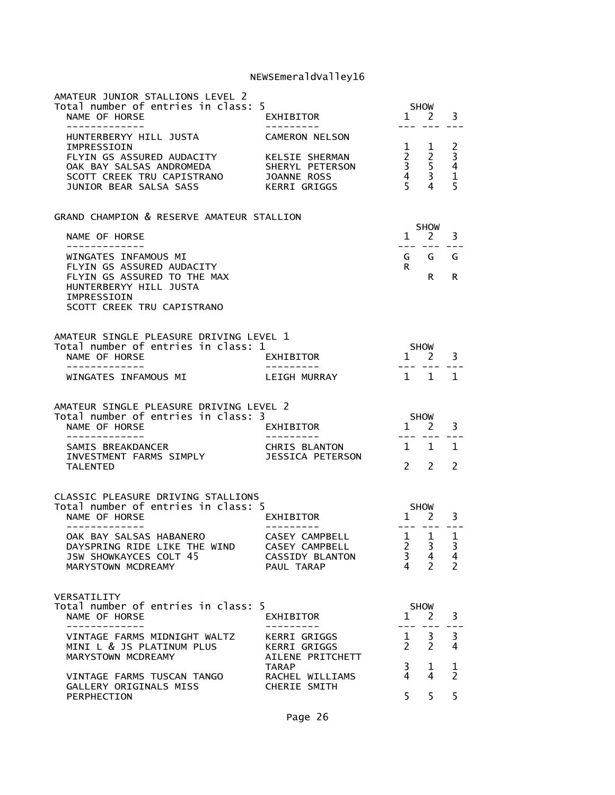| AMATEUR JUNIOR STALLIONS LEVEL 2<br>Total number of entries in class: 5<br>NAME OF HORSE<br>-------------                                               | EXHIBITOR                                                                                 | $\mathbf{1}$                                                                     | <b>SHOW</b><br>2                                | 3                                                          |
|---------------------------------------------------------------------------------------------------------------------------------------------------------|-------------------------------------------------------------------------------------------|----------------------------------------------------------------------------------|-------------------------------------------------|------------------------------------------------------------|
| HUNTERBERYY HILL JUSTA<br>IMPRESSIOIN<br>FLYIN GS ASSURED AUDACITY<br>OAK BAY SALSAS ANDROMEDA<br>SCOTT CREEK TRU CAPISTRANO<br>JUNIOR BEAR SALSA SASS  | <b>CAMERON NELSON</b><br>KELSIE SHERMAN<br>SHERYL PETERSON<br>JOANNE ROSS<br>KERRI GRIGGS | $\mathbf{1}$<br>$\overline{2}$<br>$\overline{\mathbf{3}}$<br>$\overline{4}$<br>5 | 1<br>$\overline{2}$<br>5<br>$\overline{3}$<br>4 | $\overline{c}$<br>$\overline{3}$<br>4<br>$\mathbf{1}$<br>5 |
| GRAND CHAMPION & RESERVE AMATEUR STALLION                                                                                                               |                                                                                           |                                                                                  | <b>SHOW</b>                                     |                                                            |
| NAME OF HORSE<br>-------------                                                                                                                          |                                                                                           | $\mathbf{1}$<br>$\perp$ $\perp$ $\perp$                                          | $\mathbf{2}$                                    | 3                                                          |
| WINGATES INFAMOUS MI<br>FLYIN GS ASSURED AUDACITY<br>FLYIN GS ASSURED TO THE MAX<br>HUNTERBERYY HILL JUSTA<br>IMPRESSIOIN<br>SCOTT CREEK TRU CAPISTRANO |                                                                                           | G<br>R.                                                                          | G<br>R                                          | G<br>R                                                     |
| AMATEUR SINGLE PLEASURE DRIVING LEVEL 1<br>Total number of entries in class: 1<br>NAME OF HORSE                                                         | EXHIBITOR                                                                                 | $1 \quad$                                                                        | <b>SHOW</b><br>$\mathbf{2}$                     | 3                                                          |
| WINGATES INFAMOUS MI                                                                                                                                    | LEIGH MURRAY                                                                              | $\mathbf{1}$                                                                     | 1                                               | $\mathbf{1}$                                               |
| AMATEUR SINGLE PLEASURE DRIVING LEVEL 2<br>Total number of entries in class: 3<br>NAME OF HORSE<br>-----------                                          | EXHIBITOR                                                                                 | $1 \quad$                                                                        | <b>SHOW</b><br>2                                | 3                                                          |
| SAMIS BREAKDANCER<br>INVESTMENT FARMS SIMPLY<br><b>TALENTED</b>                                                                                         | CHRIS BLANTON<br>JESSICA PETERSON                                                         | $1 \quad$<br>$\mathcal{P}$                                                       | 1<br>$\overline{2}$                             | $\mathbf{1}$<br>2                                          |
| CLASSIC PLEASURE DRIVING STALLIONS<br>Total number of entries in class: 5<br>NAME OF HORSE                                                              | EXHIBITOR                                                                                 | $\mathbf{1}$                                                                     | <b>SHOW</b><br>2                                | 3                                                          |
| -------------<br>OAK BAY SALSAS HABANERO<br>DAYSPRING RIDE LIKE THE WIND<br>JSW SHOWKAYCES COLT 45<br>MARYSTOWN MCDREAMY                                | ----------<br>CASEY CAMPBELL<br>CASEY CAMPBELL<br>CASSIDY BLANTON<br>PAUL TARAP           | ---<br>$\mathbf{1}$<br>2<br>$\overline{3}$<br>4                                  | $- - -$<br>1<br>3<br>$\overline{4}$<br>2        | ---<br>1<br>3<br>4<br>$\overline{2}$                       |
| VERSATILITY<br>Total number of entries in class: 5<br>NAME OF HORSE                                                                                     | EXHIBITOR                                                                                 | 1                                                                                | <b>SHOW</b><br>- 2                              | 3                                                          |
| -------------<br>VINTAGE FARMS MIDNIGHT WALTZ<br>MINI L & JS PLATINUM PLUS<br>MARYSTOWN MCDREAMY                                                        | KERRI GRIGGS<br>KERRI GRIGGS<br>AILENE PRITCHETT                                          | $---$<br>$\mathbf{1}$<br>$\mathcal{P}$                                           | 3<br>$\overline{2}$                             | 3<br>4                                                     |
| VINTAGE FARMS TUSCAN TANGO<br>GALLERY ORIGINALS MISS                                                                                                    | <b>TARAP</b><br>RACHEL WILLIAMS<br>CHERIE SMITH                                           | 3<br>4                                                                           | 1<br>4                                          | 1<br>$\overline{2}$                                        |
| PERPHECTION                                                                                                                                             |                                                                                           | 5                                                                                | 5                                               | 5                                                          |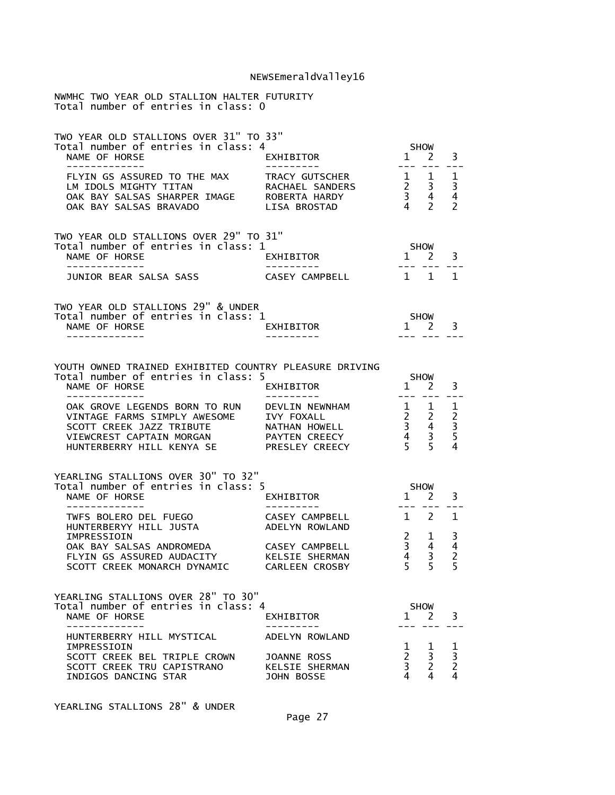| NWMHC TWO YEAR OLD STALLION HALTER FUTURITY<br>Total number of entries in class: 0                                                                 |                                                                                  |                                         |                                                                            |                                                      |
|----------------------------------------------------------------------------------------------------------------------------------------------------|----------------------------------------------------------------------------------|-----------------------------------------|----------------------------------------------------------------------------|------------------------------------------------------|
| TWO YEAR OLD STALLIONS OVER 31" TO 33"<br>Total number of entries in class: 4<br>NAME OF HORSE<br>.                                                | EXHIBITOR                                                                        | <b>SHOW</b>                             | $1 \quad 2$                                                                | 3                                                    |
| FLYIN GS ASSURED TO THE MAX<br>LM IDOLS MIGHTY TITAN<br>OAK BAY SALSAS SHARPER IMAGE ROBERTA HARDY<br>OAK BAY SALSAS BRAVADO                       | TRACY GUTSCHER<br>RACHAEL SANDERS<br>LISA BROSTAD                                |                                         | $\begin{array}{ccc} 1 & 1 \\ 2 & 3 \\ 3 & 4 \\ 4 & 2 \end{array}$          | 1<br>3<br>4<br>$\mathcal{P}$                         |
| TWO YEAR OLD STALLIONS OVER 29" TO 31"<br>Total number of entries in class: 1<br>NAME OF HORSE<br>-------------                                    | EXHIBITOR<br>----------                                                          | SHOW<br>$1 \quad 2$                     |                                                                            | 3                                                    |
| JUNIOR BEAR SALSA SASS                                                                                                                             | 1 1<br>CASEY CAMPBELL                                                            |                                         |                                                                            | 1                                                    |
| TWO YEAR OLD STALLIONS 29" & UNDER<br>Total number of entries in class: 1<br>NAME OF HORSE                                                         | EXHIBITOR                                                                        | SHOW                                    | $1 \quad 2$                                                                | 3                                                    |
| YOUTH OWNED TRAINED EXHIBITED COUNTRY PLEASURE DRIVING<br>Total number of entries in class: 5<br>NAME OF HORSE<br>-------------                    | EXHIBITOR<br>---------                                                           | $   \,$                                 | <b>SHOW</b><br>$1 \quad 2$                                                 | 3                                                    |
| OAK GROVE LEGENDS BORN TO RUN<br>VINTAGE FARMS SIMPLY AWESOME<br>SCOTT CREEK JAZZ TRIBUTE<br>VIEWCREST CAPTAIN MORGAN<br>HUNTERBERRY HILL KENYA SE | DEVLIN NEWNHAM<br>IVY FOXALL<br>NATHAN HOWELL<br>PAYTEN CREECY<br>PRESLEY CREECY |                                         | $\begin{array}{ccc} 1 & 1 \\ 2 & 2 \\ 3 & 4 \\ 4 & 3 \\ 5 & 5 \end{array}$ | 1<br>$\begin{array}{c} 2 \\ 3 \\ 5 \end{array}$<br>4 |
| YEARLING STALLIONS OVER 30" TO 32"<br>Total number of entries in class: 5<br>NAME OF HORSE<br>-----------                                          | EXHIBITOR                                                                        |                                         | SHOW<br>$1 \quad 2$                                                        | 3                                                    |
| TWFS BOLERO DEL FUEGO<br>HUNTERBERYY HILL JUSTA                                                                                                    | <b>CASEY CAMPBELL</b><br>ADELYN ROWLAND                                          | $1 \quad 2$                             |                                                                            | 1                                                    |
| IMPRESSIOIN<br>OAK BAY SALSAS ANDROMEDA<br>FLYIN GS ASSURED AUDACITY<br>SCOTT CREEK MONARCH DYNAMIC                                                | CASEY CAMPBELL<br>KELSIE SHERMAN<br>CARLEEN CROSBY                               | 3<br>$\overline{4}$<br>5 <sup>1</sup>   | $2 \quad 1$<br>4<br>3<br>5                                                 | 3<br>4<br>$\frac{2}{5}$                              |
| YEARLING STALLIONS OVER 28" TO 30"<br>Total number of entries in class: 4<br>NAME OF HORSE<br>-----------                                          | EXHIBITOR                                                                        | $1 \quad 2$                             | <b>SHOW</b><br>---                                                         | 3                                                    |
| HUNTERBERRY HILL MYSTICAL<br>IMPRESSIOIN<br>SCOTT CREEK BEL TRIPLE CROWN<br>SCOTT CREEK TRU CAPISTRANO<br>INDIGOS DANCING STAR                     | ADELYN ROWLAND<br>JOANNE ROSS<br>KELSIE SHERMAN<br>JOHN BOSSE                    | 1<br>$2^{\circ}$<br>$\overline{3}$<br>4 | $\mathbf{1}$<br>3<br>$\overline{2}$<br>4                                   | 1<br>$\frac{3}{2}$                                   |

YEARLING STALLIONS 28" & UNDER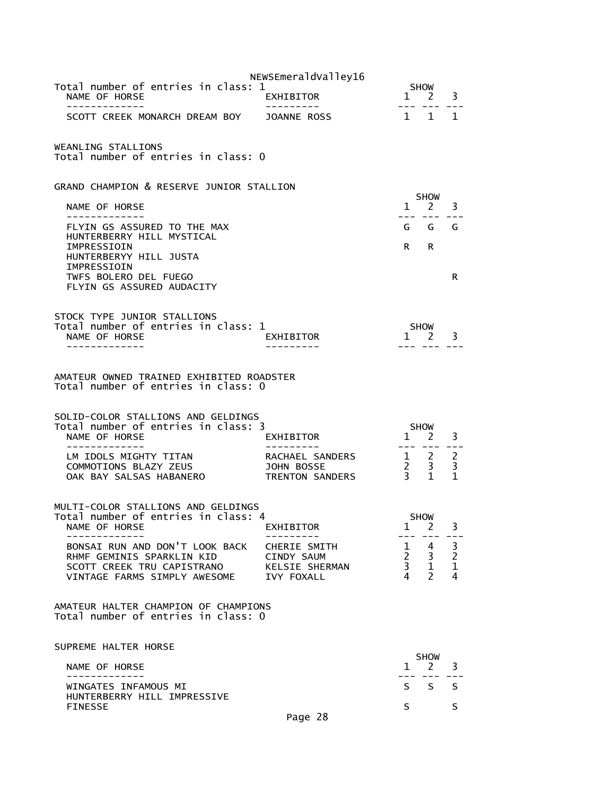|                                                                                                                       | NEWSEmeraldValley16                              |                                                                                                                                                                                                                                |                                            |                        |
|-----------------------------------------------------------------------------------------------------------------------|--------------------------------------------------|--------------------------------------------------------------------------------------------------------------------------------------------------------------------------------------------------------------------------------|--------------------------------------------|------------------------|
| Total number of entries in class: 1<br>NAME OF HORSE<br>-------------                                                 | EXHIBITOR                                        | $---$                                                                                                                                                                                                                          | <b>SHOW</b><br>$1 \quad 2$                 | 3                      |
| SCOTT CREEK MONARCH DREAM BOY JOANNE ROSS                                                                             |                                                  | $\mathbf{1}$                                                                                                                                                                                                                   | $\mathbf{1}$                               | $\mathbf{1}$           |
| WEANLING STALLIONS<br>Total number of entries in class: 0                                                             |                                                  |                                                                                                                                                                                                                                |                                            |                        |
| GRAND CHAMPION & RESERVE JUNIOR STALLION                                                                              |                                                  |                                                                                                                                                                                                                                |                                            |                        |
| NAME OF HORSE                                                                                                         |                                                  |                                                                                                                                                                                                                                | <b>SHOW</b><br>$1 \quad 2$                 | 3                      |
| - - - - - - - - - - - - -<br>FLYIN GS ASSURED TO THE MAX                                                              |                                                  | ---                                                                                                                                                                                                                            | $- - -$<br>G G G                           | $= -$                  |
| HUNTERBERRY HILL MYSTICAL<br>IMPRESSIOIN<br>HUNTERBERYY HILL JUSTA                                                    |                                                  | R and the set of the set of the set of the set of the set of the set of the set of the set of the set of the set of the set of the set of the set of the set of the set of the set of the set of the set of the set of the set | R                                          |                        |
| IMPRESSIOIN<br>TWFS BOLERO DEL FUEGO                                                                                  |                                                  |                                                                                                                                                                                                                                |                                            | R                      |
| FLYIN GS ASSURED AUDACITY                                                                                             |                                                  |                                                                                                                                                                                                                                |                                            |                        |
| STOCK TYPE JUNIOR STALLIONS                                                                                           |                                                  |                                                                                                                                                                                                                                |                                            |                        |
| Total number of entries in class: 1<br>NAME OF HORSE                                                                  | EXHIBITOR                                        |                                                                                                                                                                                                                                | SHOW<br>$1 \quad 2$                        | 3                      |
|                                                                                                                       |                                                  |                                                                                                                                                                                                                                |                                            |                        |
| AMATEUR OWNED TRAINED EXHIBITED ROADSTER<br>Total number of entries in class: 0<br>SOLID-COLOR STALLIONS AND GELDINGS |                                                  |                                                                                                                                                                                                                                |                                            |                        |
| Total number of entries in class: 3<br>NAME OF HORSE                                                                  | EXHIBITOR                                        |                                                                                                                                                                                                                                | <b>SHOW</b><br>$1 \quad 2$                 | 3                      |
|                                                                                                                       |                                                  |                                                                                                                                                                                                                                |                                            |                        |
| LM IDOLS MIGHTY TITAN<br>COMMOTIONS BLAZY ZEUS<br>OAK BAY SALSAS HABANERO                                             | RACHAEL SANDERS<br>JOHN BOSSE<br>TRENTON SANDERS | $\begin{array}{ccc} 1 & 2 \\ 2 & 3 \\ 3 & 1 \end{array}$                                                                                                                                                                       |                                            | 2<br>3<br>$\mathbf{1}$ |
|                                                                                                                       |                                                  |                                                                                                                                                                                                                                |                                            |                        |
| MULTI-COLOR STALLIONS AND GELDINGS<br>Total number of entries in class: 4                                             |                                                  |                                                                                                                                                                                                                                | <b>SHOW</b>                                |                        |
| NAME OF HORSE                                                                                                         | EXHIBITOR                                        | 1                                                                                                                                                                                                                              | <sup>2</sup>                               | 3                      |
| BONSAI RUN AND DON'T LOOK BACK CHERIE SMITH<br>RHMF GEMINIS SPARKLIN KID                                              | CINDY SAUM                                       |                                                                                                                                                                                                                                | $1 \quad 4$<br>$\frac{2}{3}$ $\frac{3}{4}$ | 3                      |
| SCOTT CREEK TRU CAPISTRANO<br>VINTAGE FARMS SIMPLY AWESOME IVY FOXALL                                                 | KELSIE SHERMAN                                   | $\frac{3}{4}$                                                                                                                                                                                                                  | $\overline{1}$<br>$\overline{2}$           | $\frac{2}{1}$<br>4     |
|                                                                                                                       |                                                  |                                                                                                                                                                                                                                |                                            |                        |
| AMATEUR HALTER CHAMPION OF CHAMPIONS<br>Total number of entries in class: 0                                           |                                                  |                                                                                                                                                                                                                                |                                            |                        |
| SUPREME HALTER HORSE                                                                                                  |                                                  |                                                                                                                                                                                                                                |                                            |                        |
| NAME OF HORSE<br>-----------                                                                                          |                                                  | $1 \quad$                                                                                                                                                                                                                      | <b>SHOW</b><br>$2^{\circ}$                 | 3                      |
| WINGATES INFAMOUS MI<br>HUNTERBERRY HILL IMPRESSIVE                                                                   |                                                  |                                                                                                                                                                                                                                | $S_S$                                      | <sub>S</sub>           |
| <b>FINESSE</b>                                                                                                        |                                                  | S                                                                                                                                                                                                                              |                                            | S                      |